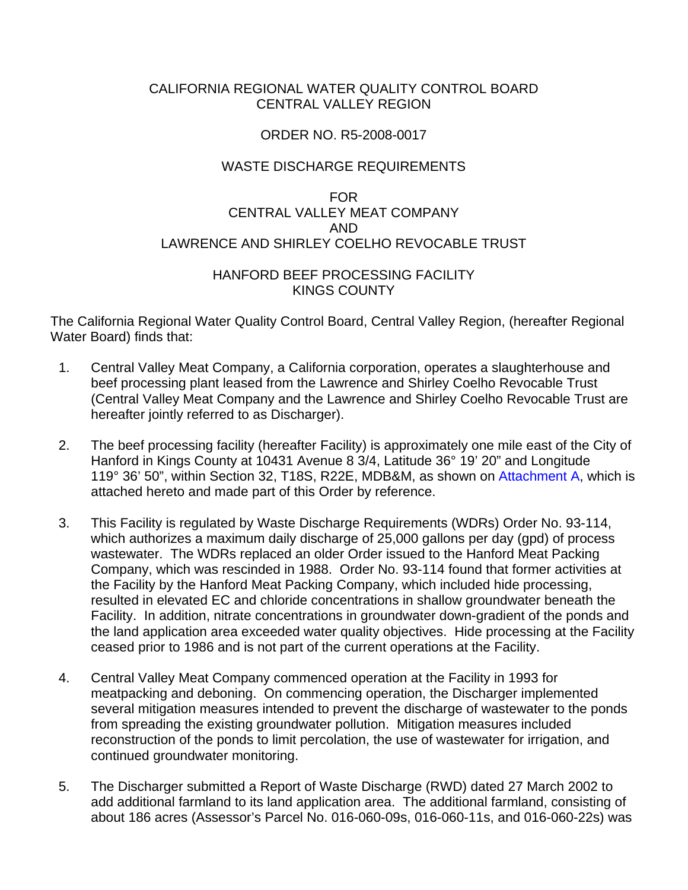## CALIFORNIA REGIONAL WATER QUALITY CONTROL BOARD CENTRAL VALLEY REGION

### ORDER NO. R5-2008-0017

## WASTE DISCHARGE REQUIREMENTS

# FOR CENTRAL VALLEY MEAT COMPANY AND LAWRENCE AND SHIRLEY COELHO REVOCABLE TRUST

### HANFORD BEEF PROCESSING FACILITY KINGS COUNTY

The California Regional Water Quality Control Board, Central Valley Region, (hereafter Regional Water Board) finds that:

- 1. Central Valley Meat Company, a California corporation, operates a slaughterhouse and beef processing plant leased from the Lawrence and Shirley Coelho Revocable Trust (Central Valley Meat Company and the Lawrence and Shirley Coelho Revocable Trust are hereafter jointly referred to as Discharger).
- 2. The beef processing facility (hereafter Facility) is approximately one mile east of the City of Hanford in Kings County at 10431 Avenue 8 3/4, Latitude 36° 19' 20" and Longitude 119° 36' 50", within Section 32, T18S, R22E, MDB&M, as shown on Attachment A, which is attached hereto and made part of this Order by reference.
- 3. This Facility is regulated by Waste Discharge Requirements (WDRs) Order No. 93-114, which authorizes a maximum daily discharge of 25,000 gallons per day (gpd) of process wastewater. The WDRs replaced an older Order issued to the Hanford Meat Packing Company, which was rescinded in 1988. Order No. 93-114 found that former activities at the Facility by the Hanford Meat Packing Company, which included hide processing, resulted in elevated EC and chloride concentrations in shallow groundwater beneath the Facility. In addition, nitrate concentrations in groundwater down-gradient of the ponds and the land application area exceeded water quality objectives. Hide processing at the Facility ceased prior to 1986 and is not part of the current operations at the Facility.
- 4. Central Valley Meat Company commenced operation at the Facility in 1993 for meatpacking and deboning. On commencing operation, the Discharger implemented several mitigation measures intended to prevent the discharge of wastewater to the ponds from spreading the existing groundwater pollution. Mitigation measures included reconstruction of the ponds to limit percolation, the use of wastewater for irrigation, and continued groundwater monitoring.
- 5. The Discharger submitted a Report of Waste Discharge (RWD) dated 27 March 2002 to add additional farmland to its land application area. The additional farmland, consisting of about 186 acres (Assessor's Parcel No. 016-060-09s, 016-060-11s, and 016-060-22s) was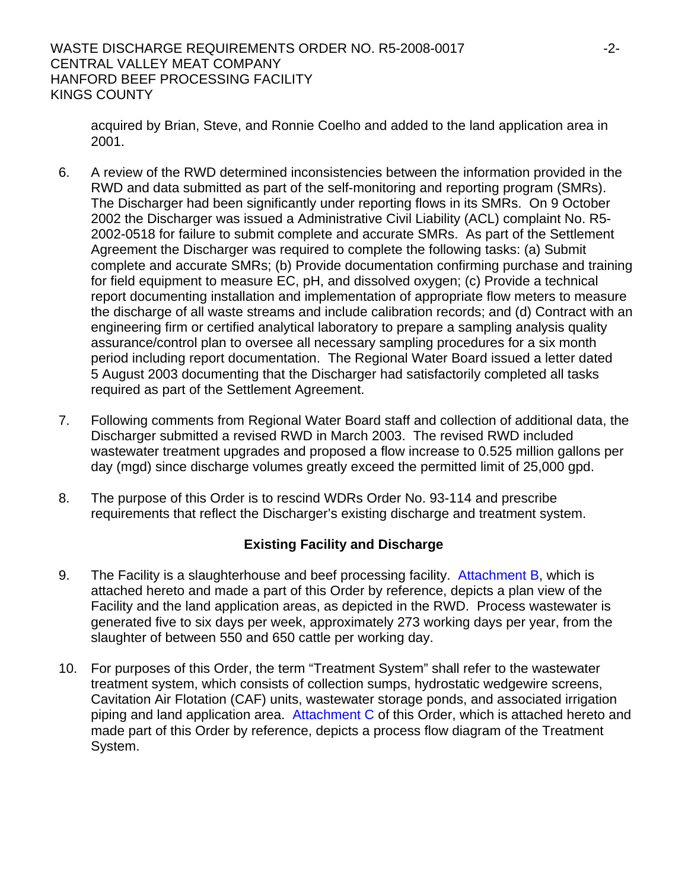WASTE DISCHARGE REQUIREMENTS ORDER NO. R5-2008-0017 -2- CENTRAL VALLEY MEAT COMPANY HANFORD BEEF PROCESSING FACILITY KINGS COUNTY

acquired by Brian, Steve, and Ronnie Coelho and added to the land application area in 2001.

- 6. A review of the RWD determined inconsistencies between the information provided in the RWD and data submitted as part of the self-monitoring and reporting program (SMRs). The Discharger had been significantly under reporting flows in its SMRs. On 9 October 2002 the Discharger was issued a Administrative Civil Liability (ACL) complaint No. R5- 2002-0518 for failure to submit complete and accurate SMRs. As part of the Settlement Agreement the Discharger was required to complete the following tasks: (a) Submit complete and accurate SMRs; (b) Provide documentation confirming purchase and training for field equipment to measure EC, pH, and dissolved oxygen; (c) Provide a technical report documenting installation and implementation of appropriate flow meters to measure the discharge of all waste streams and include calibration records; and (d) Contract with an engineering firm or certified analytical laboratory to prepare a sampling analysis quality assurance/control plan to oversee all necessary sampling procedures for a six month period including report documentation. The Regional Water Board issued a letter dated 5 August 2003 documenting that the Discharger had satisfactorily completed all tasks required as part of the Settlement Agreement.
- 7. Following comments from Regional Water Board staff and collection of additional data, the Discharger submitted a revised RWD in March 2003. The revised RWD included wastewater treatment upgrades and proposed a flow increase to 0.525 million gallons per day (mgd) since discharge volumes greatly exceed the permitted limit of 25,000 gpd.
- 8. The purpose of this Order is to rescind WDRs Order No. 93-114 and prescribe requirements that reflect the Discharger's existing discharge and treatment system.

# **Existing Facility and Discharge**

- 9. The Facility is a slaughterhouse and beef processing facility. Attachment B, which is attached hereto and made a part of this Order by reference, depicts a plan view of the Facility and the land application areas, as depicted in the RWD. Process wastewater is generated five to six days per week, approximately 273 working days per year, from the slaughter of between 550 and 650 cattle per working day.
- 10. For purposes of this Order, the term "Treatment System" shall refer to the wastewater treatment system, which consists of collection sumps, hydrostatic wedgewire screens, Cavitation Air Flotation (CAF) units, wastewater storage ponds, and associated irrigation piping and land application area. Attachment  $C$  of this Order, which is attached hereto and made part of this Order by reference, depicts a process flow diagram of the Treatment System.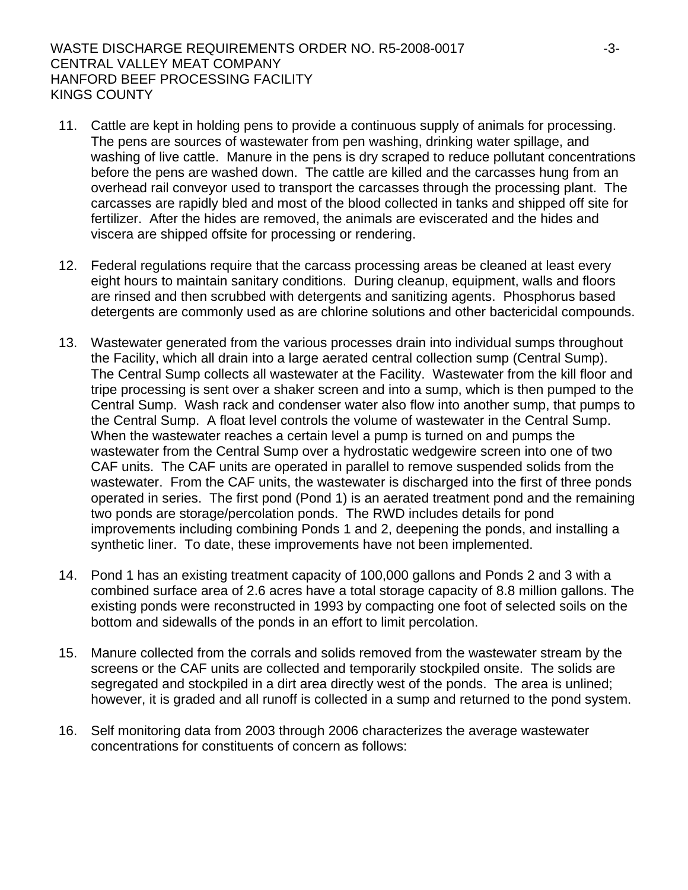## WASTE DISCHARGE REQUIREMENTS ORDER NO. R5-2008-0017 -3- CENTRAL VALLEY MEAT COMPANY HANFORD BEEF PROCESSING FACILITY KINGS COUNTY

- 11. Cattle are kept in holding pens to provide a continuous supply of animals for processing. The pens are sources of wastewater from pen washing, drinking water spillage, and washing of live cattle. Manure in the pens is dry scraped to reduce pollutant concentrations before the pens are washed down. The cattle are killed and the carcasses hung from an overhead rail conveyor used to transport the carcasses through the processing plant. The carcasses are rapidly bled and most of the blood collected in tanks and shipped off site for fertilizer. After the hides are removed, the animals are eviscerated and the hides and viscera are shipped offsite for processing or rendering.
- 12. Federal regulations require that the carcass processing areas be cleaned at least every eight hours to maintain sanitary conditions. During cleanup, equipment, walls and floors are rinsed and then scrubbed with detergents and sanitizing agents. Phosphorus based detergents are commonly used as are chlorine solutions and other bactericidal compounds.
- 13. Wastewater generated from the various processes drain into individual sumps throughout the Facility, which all drain into a large aerated central collection sump (Central Sump). The Central Sump collects all wastewater at the Facility. Wastewater from the kill floor and tripe processing is sent over a shaker screen and into a sump, which is then pumped to the Central Sump. Wash rack and condenser water also flow into another sump, that pumps to the Central Sump. A float level controls the volume of wastewater in the Central Sump. When the wastewater reaches a certain level a pump is turned on and pumps the wastewater from the Central Sump over a hydrostatic wedgewire screen into one of two CAF units. The CAF units are operated in parallel to remove suspended solids from the wastewater. From the CAF units, the wastewater is discharged into the first of three ponds operated in series. The first pond (Pond 1) is an aerated treatment pond and the remaining two ponds are storage/percolation ponds. The RWD includes details for pond improvements including combining Ponds 1 and 2, deepening the ponds, and installing a synthetic liner. To date, these improvements have not been implemented.
- 14. Pond 1 has an existing treatment capacity of 100,000 gallons and Ponds 2 and 3 with a combined surface area of 2.6 acres have a total storage capacity of 8.8 million gallons. The existing ponds were reconstructed in 1993 by compacting one foot of selected soils on the bottom and sidewalls of the ponds in an effort to limit percolation.
- 15. Manure collected from the corrals and solids removed from the wastewater stream by the screens or the CAF units are collected and temporarily stockpiled onsite. The solids are segregated and stockpiled in a dirt area directly west of the ponds. The area is unlined; however, it is graded and all runoff is collected in a sump and returned to the pond system.
- 16. Self monitoring data from 2003 through 2006 characterizes the average wastewater concentrations for constituents of concern as follows: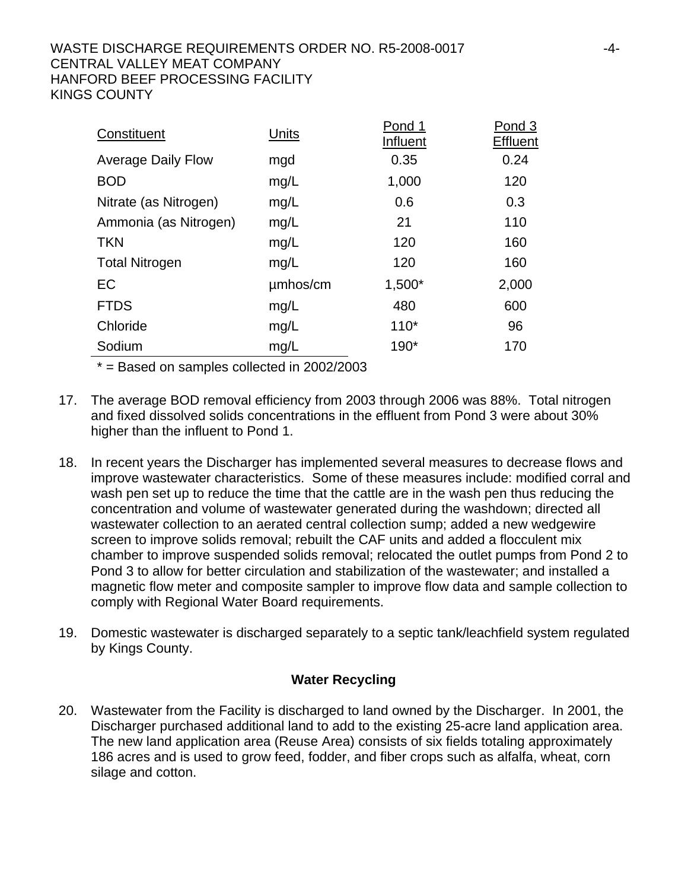## WASTE DISCHARGE REQUIREMENTS ORDER NO. R5-2008-0017 -4- CENTRAL VALLEY MEAT COMPANY HANFORD BEEF PROCESSING FACILITY KINGS COUNTY

| Constituent               | Units    | Pond 1<br>Influent | Pond 3<br>Effluent |
|---------------------------|----------|--------------------|--------------------|
| <b>Average Daily Flow</b> | mgd      | 0.35               | 0.24               |
| <b>BOD</b>                | mg/L     | 1,000              | 120                |
| Nitrate (as Nitrogen)     | mg/L     | 0.6                | 0.3                |
| Ammonia (as Nitrogen)     | mg/L     | 21                 | 110                |
| <b>TKN</b>                | mg/L     | 120                | 160                |
| <b>Total Nitrogen</b>     | mg/L     | 120                | 160                |
| EC                        | umhos/cm | $1,500*$           | 2,000              |
| <b>FTDS</b>               | mg/L     | 480                | 600                |
| Chloride                  | mg/L     | $110*$             | 96                 |
| Sodium                    | mg/L     | 190*               | 170                |

 $*$  = Based on samples collected in 2002/2003

- 17. The average BOD removal efficiency from 2003 through 2006 was 88%. Total nitrogen and fixed dissolved solids concentrations in the effluent from Pond 3 were about 30% higher than the influent to Pond 1.
- 18. In recent years the Discharger has implemented several measures to decrease flows and improve wastewater characteristics. Some of these measures include: modified corral and wash pen set up to reduce the time that the cattle are in the wash pen thus reducing the concentration and volume of wastewater generated during the washdown; directed all wastewater collection to an aerated central collection sump; added a new wedgewire screen to improve solids removal; rebuilt the CAF units and added a flocculent mix chamber to improve suspended solids removal; relocated the outlet pumps from Pond 2 to Pond 3 to allow for better circulation and stabilization of the wastewater; and installed a magnetic flow meter and composite sampler to improve flow data and sample collection to comply with Regional Water Board requirements.
- 19. Domestic wastewater is discharged separately to a septic tank/leachfield system regulated by Kings County.

## **Water Recycling**

20. Wastewater from the Facility is discharged to land owned by the Discharger. In 2001, the Discharger purchased additional land to add to the existing 25-acre land application area. The new land application area (Reuse Area) consists of six fields totaling approximately 186 acres and is used to grow feed, fodder, and fiber crops such as alfalfa, wheat, corn silage and cotton.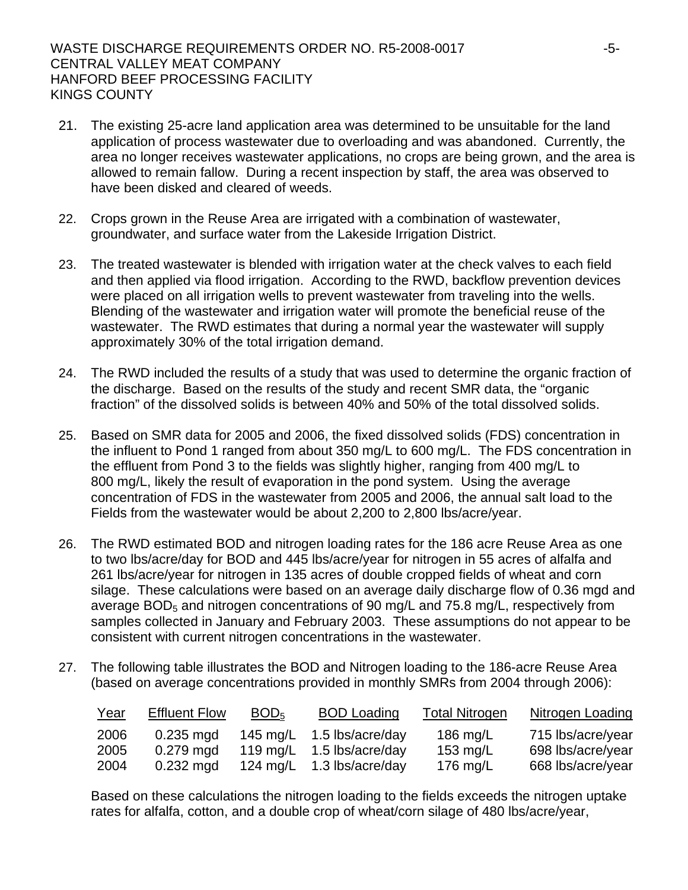- 21. The existing 25-acre land application area was determined to be unsuitable for the land application of process wastewater due to overloading and was abandoned. Currently, the area no longer receives wastewater applications, no crops are being grown, and the area is allowed to remain fallow. During a recent inspection by staff, the area was observed to have been disked and cleared of weeds.
- 22. Crops grown in the Reuse Area are irrigated with a combination of wastewater, groundwater, and surface water from the Lakeside Irrigation District.
- 23. The treated wastewater is blended with irrigation water at the check valves to each field and then applied via flood irrigation. According to the RWD, backflow prevention devices were placed on all irrigation wells to prevent wastewater from traveling into the wells. Blending of the wastewater and irrigation water will promote the beneficial reuse of the wastewater. The RWD estimates that during a normal year the wastewater will supply approximately 30% of the total irrigation demand.
- 24. The RWD included the results of a study that was used to determine the organic fraction of the discharge. Based on the results of the study and recent SMR data, the "organic fraction" of the dissolved solids is between 40% and 50% of the total dissolved solids.
- 25. Based on SMR data for 2005 and 2006, the fixed dissolved solids (FDS) concentration in the influent to Pond 1 ranged from about 350 mg/L to 600 mg/L. The FDS concentration in the effluent from Pond 3 to the fields was slightly higher, ranging from 400 mg/L to 800 mg/L, likely the result of evaporation in the pond system. Using the average concentration of FDS in the wastewater from 2005 and 2006, the annual salt load to the Fields from the wastewater would be about 2,200 to 2,800 lbs/acre/year.
- 26. The RWD estimated BOD and nitrogen loading rates for the 186 acre Reuse Area as one to two lbs/acre/day for BOD and 445 lbs/acre/year for nitrogen in 55 acres of alfalfa and 261 lbs/acre/year for nitrogen in 135 acres of double cropped fields of wheat and corn silage. These calculations were based on an average daily discharge flow of 0.36 mgd and average  $BOD<sub>5</sub>$  and nitrogen concentrations of 90 mg/L and 75.8 mg/L, respectively from samples collected in January and February 2003. These assumptions do not appear to be consistent with current nitrogen concentrations in the wastewater.
- 27. The following table illustrates the BOD and Nitrogen loading to the 186-acre Reuse Area (based on average concentrations provided in monthly SMRs from 2004 through 2006):

| <u>Year</u> | <b>Effluent Flow</b> | BOD <sub>5</sub> | <b>BOD Loading</b> | <b>Total Nitrogen</b> | <b>Nitrogen Loading</b> |
|-------------|----------------------|------------------|--------------------|-----------------------|-------------------------|
| 2006        | $0.235$ mgd          | 145 mg/L         | 1.5 lbs/acre/day   | 186 $mg/L$            | 715 lbs/acre/year       |
| 2005        | $0.279$ mgd          | 119 mg/L         | 1.5 lbs/acre/day   | 153 mg/L              | 698 lbs/acre/year       |
| 2004        | $0.232$ mgd          | 124 mg/L         | 1.3 lbs/acre/day   | 176 mg/L              | 668 lbs/acre/year       |

Based on these calculations the nitrogen loading to the fields exceeds the nitrogen uptake rates for alfalfa, cotton, and a double crop of wheat/corn silage of 480 lbs/acre/year,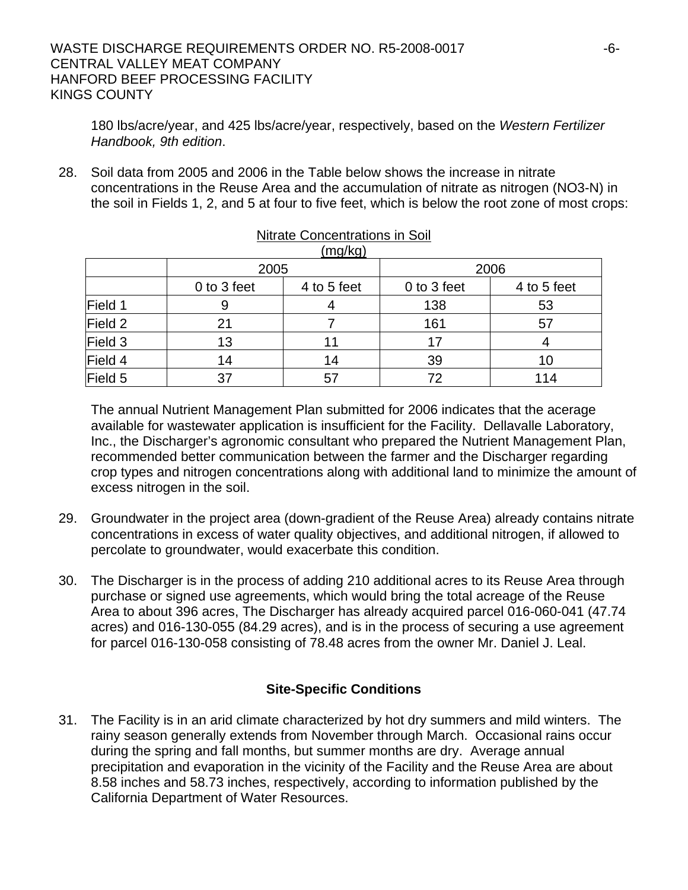## WASTE DISCHARGE REQUIREMENTS ORDER NO. R5-2008-0017 -6- CENTRAL VALLEY MEAT COMPANY HANFORD BEEF PROCESSING FACILITY KINGS COUNTY

180 lbs/acre/year, and 425 lbs/acre/year, respectively, based on the *Western Fertilizer Handbook, 9th edition*.

28. Soil data from 2005 and 2006 in the Table below shows the increase in nitrate concentrations in the Reuse Area and the accumulation of nitrate as nitrogen (NO3-N) in the soil in Fields 1, 2, and 5 at four to five feet, which is below the root zone of most crops:

| (mg/kg) |             |             |             |             |
|---------|-------------|-------------|-------------|-------------|
|         | 2005        |             |             | 2006        |
|         | 0 to 3 feet | 4 to 5 feet | 0 to 3 feet | 4 to 5 feet |
| Field 1 |             |             | 138         | 53          |
| Field 2 | 21          |             | 161         | 57          |
| Field 3 | 13          |             |             |             |
| Field 4 | 14          | 14          | 39          | 10          |
| Field 5 | 37          | 57          | 72          | 114         |

# Nitrate Concentrations in Soil

The annual Nutrient Management Plan submitted for 2006 indicates that the acerage available for wastewater application is insufficient for the Facility. Dellavalle Laboratory, Inc., the Discharger's agronomic consultant who prepared the Nutrient Management Plan, recommended better communication between the farmer and the Discharger regarding crop types and nitrogen concentrations along with additional land to minimize the amount of excess nitrogen in the soil.

- 29. Groundwater in the project area (down-gradient of the Reuse Area) already contains nitrate concentrations in excess of water quality objectives, and additional nitrogen, if allowed to percolate to groundwater, would exacerbate this condition.
- 30. The Discharger is in the process of adding 210 additional acres to its Reuse Area through purchase or signed use agreements, which would bring the total acreage of the Reuse Area to about 396 acres, The Discharger has already acquired parcel 016-060-041 (47.74 acres) and 016-130-055 (84.29 acres), and is in the process of securing a use agreement for parcel 016-130-058 consisting of 78.48 acres from the owner Mr. Daniel J. Leal.

## **Site-Specific Conditions**

31. The Facility is in an arid climate characterized by hot dry summers and mild winters. The rainy season generally extends from November through March. Occasional rains occur during the spring and fall months, but summer months are dry. Average annual precipitation and evaporation in the vicinity of the Facility and the Reuse Area are about 8.58 inches and 58.73 inches, respectively, according to information published by the California Department of Water Resources.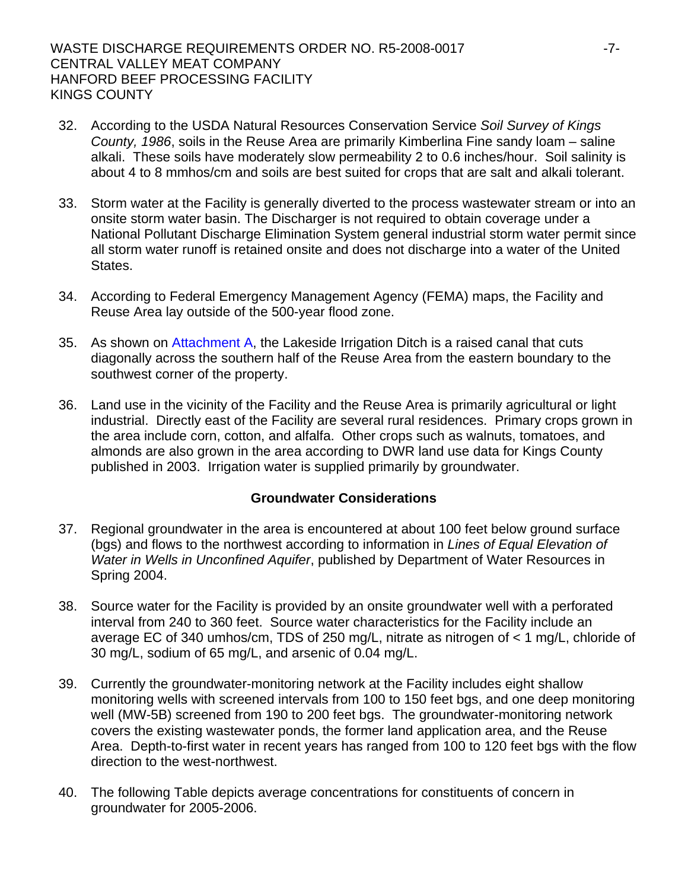- 32. According to the USDA Natural Resources Conservation Service *Soil Survey of Kings County, 1986*, soils in the Reuse Area are primarily Kimberlina Fine sandy loam – saline alkali. These soils have moderately slow permeability 2 to 0.6 inches/hour. Soil salinity is about 4 to 8 mmhos/cm and soils are best suited for crops that are salt and alkali tolerant.
- 33. Storm water at the Facility is generally diverted to the process wastewater stream or into an onsite storm water basin. The Discharger is not required to obtain coverage under a National Pollutant Discharge Elimination System general industrial storm water permit since all storm water runoff is retained onsite and does not discharge into a water of the United States.
- 34. According to Federal Emergency Management Agency (FEMA) maps, the Facility and Reuse Area lay outside of the 500-year flood zone.
- 35. As shown on Attachment A, the Lakeside Irrigation Ditch is a raised canal that cuts diagonally across the southern half of the Reuse Area from the eastern boundary to the southwest corner of the property.
- 36. Land use in the vicinity of the Facility and the Reuse Area is primarily agricultural or light industrial. Directly east of the Facility are several rural residences. Primary crops grown in the area include corn, cotton, and alfalfa. Other crops such as walnuts, tomatoes, and almonds are also grown in the area according to DWR land use data for Kings County published in 2003. Irrigation water is supplied primarily by groundwater.

## **Groundwater Considerations**

- 37. Regional groundwater in the area is encountered at about 100 feet below ground surface (bgs) and flows to the northwest according to information in *Lines of Equal Elevation of Water in Wells in Unconfined Aquifer*, published by Department of Water Resources in Spring 2004.
- 38. Source water for the Facility is provided by an onsite groundwater well with a perforated interval from 240 to 360 feet. Source water characteristics for the Facility include an average EC of 340 umhos/cm, TDS of 250 mg/L, nitrate as nitrogen of < 1 mg/L, chloride of 30 mg/L, sodium of 65 mg/L, and arsenic of 0.04 mg/L.
- 39. Currently the groundwater-monitoring network at the Facility includes eight shallow monitoring wells with screened intervals from 100 to 150 feet bgs, and one deep monitoring well (MW-5B) screened from 190 to 200 feet bgs. The groundwater-monitoring network covers the existing wastewater ponds, the former land application area, and the Reuse Area. Depth-to-first water in recent years has ranged from 100 to 120 feet bgs with the flow direction to the west-northwest.
- 40. The following Table depicts average concentrations for constituents of concern in groundwater for 2005-2006.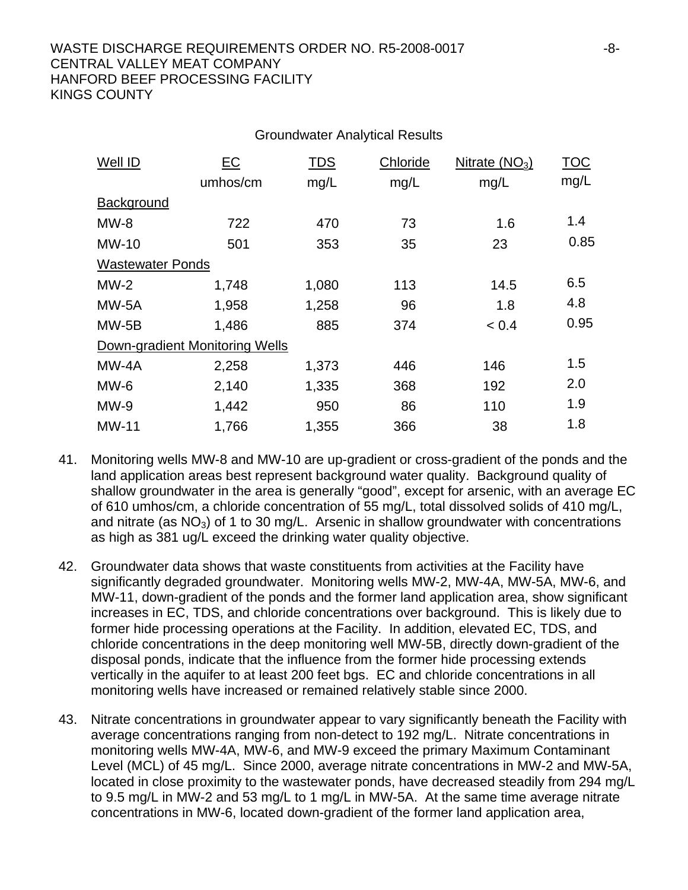## WASTE DISCHARGE REQUIREMENTS ORDER NO. R5-2008-0017 -8- CENTRAL VALLEY MEAT COMPANY HANFORD BEEF PROCESSING FACILITY KINGS COUNTY

| Well ID                 | EC                             | <b>TDS</b> | Chloride | Nitrate $(NO3)$ | <b>TOC</b> |
|-------------------------|--------------------------------|------------|----------|-----------------|------------|
|                         | umhos/cm                       | mg/L       | mg/L     | mg/L            | mg/L       |
| Background              |                                |            |          |                 |            |
| $MW-8$                  | 722                            | 470        | 73       | 1.6             | 1.4        |
| $MW-10$                 | 501                            | 353        | 35       | 23              | 0.85       |
| <b>Wastewater Ponds</b> |                                |            |          |                 |            |
| $MW-2$                  | 1,748                          | 1,080      | 113      | 14.5            | 6.5        |
| MW-5A                   | 1,958                          | 1,258      | 96       | 1.8             | 4.8        |
| $MW-5B$                 | 1,486                          | 885        | 374      | < 0.4           | 0.95       |
|                         | Down-gradient Monitoring Wells |            |          |                 |            |
| MW-4A                   | 2,258                          | 1,373      | 446      | 146             | 1.5        |
| MW-6                    | 2,140                          | 1,335      | 368      | 192             | 2.0        |
| $MW-9$                  | 1,442                          | 950        | 86       | 110             | 1.9        |
| MW-11                   | 1,766                          | 1,355      | 366      | 38              | 1.8        |
|                         |                                |            |          |                 |            |

Groundwater Analytical Results

- 41. Monitoring wells MW-8 and MW-10 are up-gradient or cross-gradient of the ponds and the land application areas best represent background water quality. Background quality of shallow groundwater in the area is generally "good", except for arsenic, with an average EC of 610 umhos/cm, a chloride concentration of 55 mg/L, total dissolved solids of 410 mg/L, and nitrate (as  $NO<sub>3</sub>$ ) of 1 to 30 mg/L. Arsenic in shallow groundwater with concentrations as high as 381 ug/L exceed the drinking water quality objective.
- 42. Groundwater data shows that waste constituents from activities at the Facility have significantly degraded groundwater. Monitoring wells MW-2, MW-4A, MW-5A, MW-6, and MW-11, down-gradient of the ponds and the former land application area, show significant increases in EC, TDS, and chloride concentrations over background. This is likely due to former hide processing operations at the Facility. In addition, elevated EC, TDS, and chloride concentrations in the deep monitoring well MW-5B, directly down-gradient of the disposal ponds, indicate that the influence from the former hide processing extends vertically in the aquifer to at least 200 feet bgs. EC and chloride concentrations in all monitoring wells have increased or remained relatively stable since 2000.
- 43. Nitrate concentrations in groundwater appear to vary significantly beneath the Facility with average concentrations ranging from non-detect to 192 mg/L. Nitrate concentrations in monitoring wells MW-4A, MW-6, and MW-9 exceed the primary Maximum Contaminant Level (MCL) of 45 mg/L. Since 2000, average nitrate concentrations in MW-2 and MW-5A, located in close proximity to the wastewater ponds, have decreased steadily from 294 mg/L to 9.5 mg/L in MW-2 and 53 mg/L to 1 mg/L in MW-5A. At the same time average nitrate concentrations in MW-6, located down-gradient of the former land application area,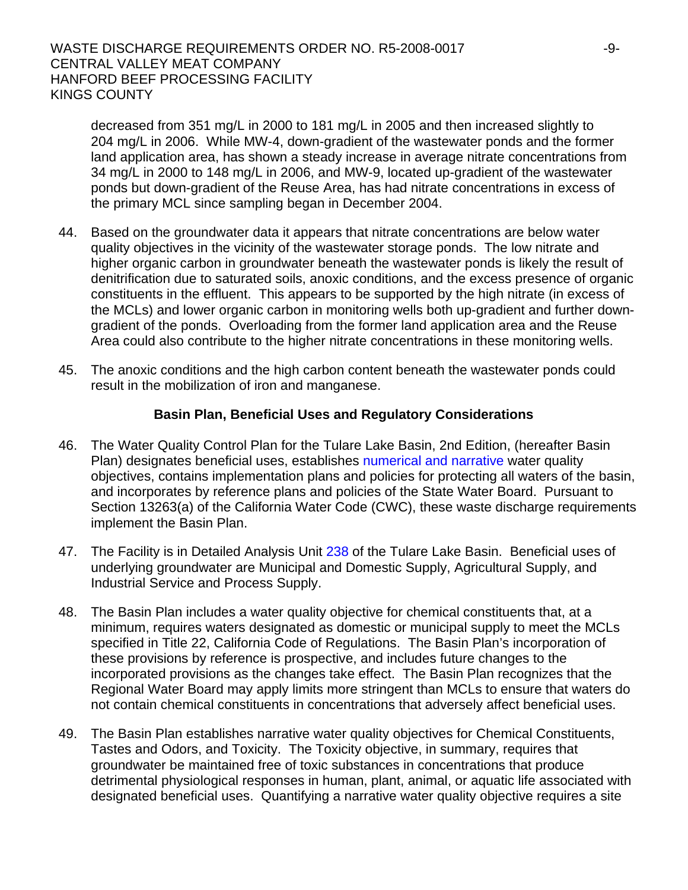decreased from 351 mg/L in 2000 to 181 mg/L in 2005 and then increased slightly to 204 mg/L in 2006. While MW-4, down-gradient of the wastewater ponds and the former land application area, has shown a steady increase in average nitrate concentrations from 34 mg/L in 2000 to 148 mg/L in 2006, and MW-9, located up-gradient of the wastewater ponds but down-gradient of the Reuse Area, has had nitrate concentrations in excess of the primary MCL since sampling began in December 2004.

- 44. Based on the groundwater data it appears that nitrate concentrations are below water quality objectives in the vicinity of the wastewater storage ponds. The low nitrate and higher organic carbon in groundwater beneath the wastewater ponds is likely the result of denitrification due to saturated soils, anoxic conditions, and the excess presence of organic constituents in the effluent. This appears to be supported by the high nitrate (in excess of the MCLs) and lower organic carbon in monitoring wells both up-gradient and further downgradient of the ponds. Overloading from the former land application area and the Reuse Area could also contribute to the higher nitrate concentrations in these monitoring wells.
- 45. The anoxic conditions and the high carbon content beneath the wastewater ponds could result in the mobilization of iron and manganese.

## **Basin Plan, Beneficial Uses and Regulatory Considerations**

- 46. The Water Quality Control Plan for the Tulare Lake Basin, 2nd Edition, (hereafter Basin Plan) designates beneficial uses, establishes numerical and narrative water quality objectives, contains implementation plans and policies for protecting all waters of the basin, and incorporates by reference plans and policies of the State Water Board. Pursuant to Section 13263(a) of the California Water Code (CWC), these waste discharge requirements implement the Basin Plan.
- 47. The Facility is in Detailed Analysis Unit 238 of the Tulare Lake Basin. Beneficial uses of underlying groundwater are Municipal and Domestic Supply, Agricultural Supply, and Industrial Service and Process Supply.
- 48. The Basin Plan includes a water quality objective for chemical constituents that, at a minimum, requires waters designated as domestic or municipal supply to meet the MCLs specified in Title 22, California Code of Regulations. The Basin Plan's incorporation of these provisions by reference is prospective, and includes future changes to the incorporated provisions as the changes take effect. The Basin Plan recognizes that the Regional Water Board may apply limits more stringent than MCLs to ensure that waters do not contain chemical constituents in concentrations that adversely affect beneficial uses.
- 49. The Basin Plan establishes narrative water quality objectives for Chemical Constituents, Tastes and Odors, and Toxicity. The Toxicity objective, in summary, requires that groundwater be maintained free of toxic substances in concentrations that produce detrimental physiological responses in human, plant, animal, or aquatic life associated with designated beneficial uses. Quantifying a narrative water quality objective requires a site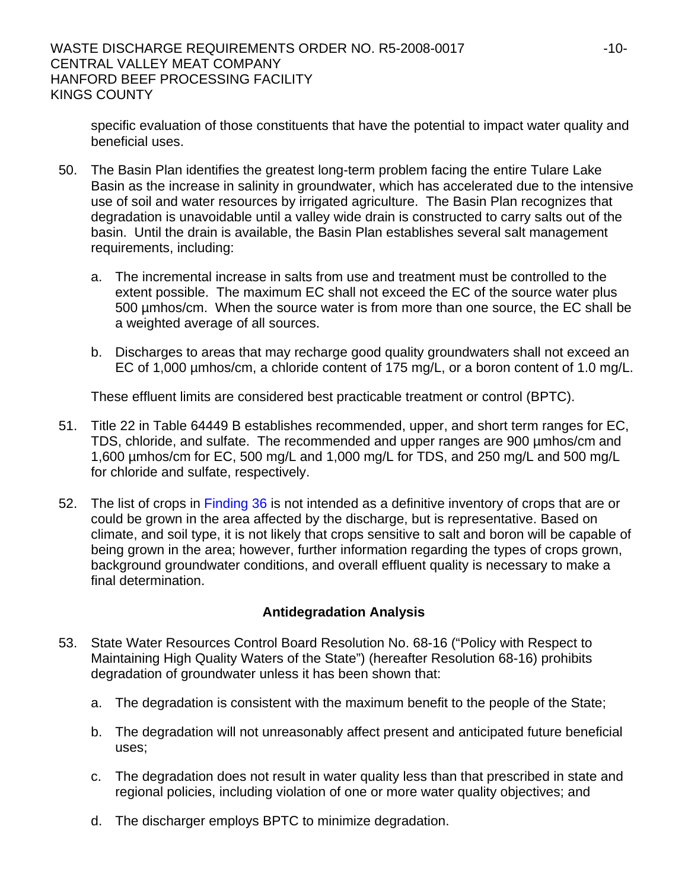specific evaluation of those constituents that have the potential to impact water quality and beneficial uses.

- 50. The Basin Plan identifies the greatest long-term problem facing the entire Tulare Lake Basin as the increase in salinity in groundwater, which has accelerated due to the intensive use of soil and water resources by irrigated agriculture. The Basin Plan recognizes that degradation is unavoidable until a valley wide drain is constructed to carry salts out of the basin. Until the drain is available, the Basin Plan establishes several salt management requirements, including:
	- a. The incremental increase in salts from use and treatment must be controlled to the extent possible. The maximum EC shall not exceed the EC of the source water plus 500 µmhos/cm. When the source water is from more than one source, the EC shall be a weighted average of all sources.
	- b. Discharges to areas that may recharge good quality groundwaters shall not exceed an EC of 1,000 µmhos/cm, a chloride content of 175 mg/L, or a boron content of 1.0 mg/L.

These effluent limits are considered best practicable treatment or control (BPTC).

- 51. Title 22 in Table 64449 B establishes recommended, upper, and short term ranges for EC, TDS, chloride, and sulfate. The recommended and upper ranges are 900 µmhos/cm and 1,600 µmhos/cm for EC, 500 mg/L and 1,000 mg/L for TDS, and 250 mg/L and 500 mg/L for chloride and sulfate, respectively.
- 52. The list of crops in Finding 36 is not intended as a definitive inventory of crops that are or could be grown in the area affected by the discharge, but is representative. Based on climate, and soil type, it is not likely that crops sensitive to salt and boron will be capable of being grown in the area; however, further information regarding the types of crops grown, background groundwater conditions, and overall effluent quality is necessary to make a final determination.

## **Antidegradation Analysis**

- 53. State Water Resources Control Board Resolution No. 68-16 ("Policy with Respect to Maintaining High Quality Waters of the State") (hereafter Resolution 68-16) prohibits degradation of groundwater unless it has been shown that:
	- a. The degradation is consistent with the maximum benefit to the people of the State;
	- b. The degradation will not unreasonably affect present and anticipated future beneficial uses;
	- c. The degradation does not result in water quality less than that prescribed in state and regional policies, including violation of one or more water quality objectives; and
	- d. The discharger employs BPTC to minimize degradation.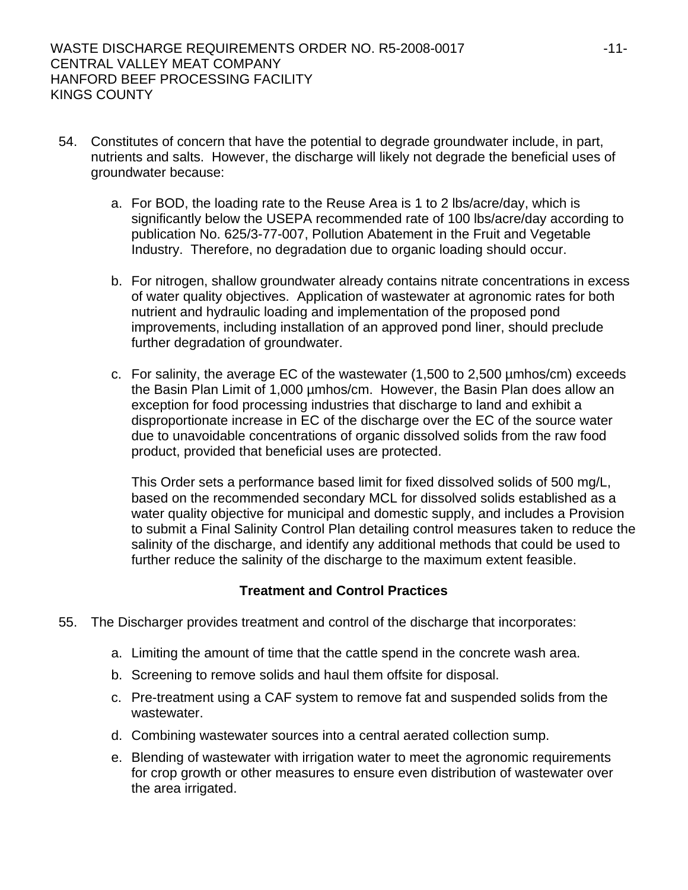- 54. Constitutes of concern that have the potential to degrade groundwater include, in part, nutrients and salts. However, the discharge will likely not degrade the beneficial uses of groundwater because:
	- a. For BOD, the loading rate to the Reuse Area is 1 to 2 lbs/acre/day, which is significantly below the USEPA recommended rate of 100 lbs/acre/day according to publication No. 625/3-77-007, Pollution Abatement in the Fruit and Vegetable Industry. Therefore, no degradation due to organic loading should occur.
	- b. For nitrogen, shallow groundwater already contains nitrate concentrations in excess of water quality objectives. Application of wastewater at agronomic rates for both nutrient and hydraulic loading and implementation of the proposed pond improvements, including installation of an approved pond liner, should preclude further degradation of groundwater.
	- c. For salinity, the average EC of the wastewater (1,500 to 2,500 µmhos/cm) exceeds the Basin Plan Limit of 1,000 µmhos/cm. However, the Basin Plan does allow an exception for food processing industries that discharge to land and exhibit a disproportionate increase in EC of the discharge over the EC of the source water due to unavoidable concentrations of organic dissolved solids from the raw food product, provided that beneficial uses are protected.

This Order sets a performance based limit for fixed dissolved solids of 500 mg/L, based on the recommended secondary MCL for dissolved solids established as a water quality objective for municipal and domestic supply, and includes a Provision to submit a Final Salinity Control Plan detailing control measures taken to reduce the salinity of the discharge, and identify any additional methods that could be used to further reduce the salinity of the discharge to the maximum extent feasible.

## **Treatment and Control Practices**

- 55. The Discharger provides treatment and control of the discharge that incorporates:
	- a. Limiting the amount of time that the cattle spend in the concrete wash area.
	- b. Screening to remove solids and haul them offsite for disposal.
	- c. Pre-treatment using a CAF system to remove fat and suspended solids from the wastewater.
	- d. Combining wastewater sources into a central aerated collection sump.
	- e. Blending of wastewater with irrigation water to meet the agronomic requirements for crop growth or other measures to ensure even distribution of wastewater over the area irrigated.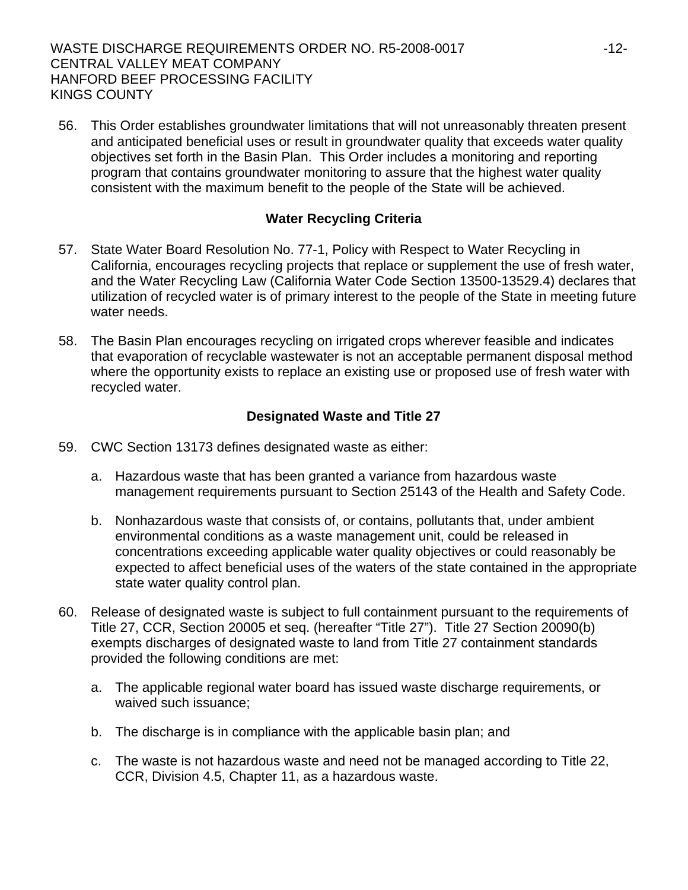56. This Order establishes groundwater limitations that will not unreasonably threaten present and anticipated beneficial uses or result in groundwater quality that exceeds water quality objectives set forth in the Basin Plan. This Order includes a monitoring and reporting program that contains groundwater monitoring to assure that the highest water quality consistent with the maximum benefit to the people of the State will be achieved.

## **Water Recycling Criteria**

- 57. State Water Board Resolution No. 77-1, Policy with Respect to Water Recycling in California, encourages recycling projects that replace or supplement the use of fresh water, and the Water Recycling Law (California Water Code Section 13500-13529.4) declares that utilization of recycled water is of primary interest to the people of the State in meeting future water needs.
- 58. The Basin Plan encourages recycling on irrigated crops wherever feasible and indicates that evaporation of recyclable wastewater is not an acceptable permanent disposal method where the opportunity exists to replace an existing use or proposed use of fresh water with recycled water.

## **Designated Waste and Title 27**

- 59. CWC Section 13173 defines designated waste as either:
	- a. Hazardous waste that has been granted a variance from hazardous waste management requirements pursuant to Section 25143 of the Health and Safety Code.
	- b. Nonhazardous waste that consists of, or contains, pollutants that, under ambient environmental conditions as a waste management unit, could be released in concentrations exceeding applicable water quality objectives or could reasonably be expected to affect beneficial uses of the waters of the state contained in the appropriate state water quality control plan.
- 60. Release of designated waste is subject to full containment pursuant to the requirements of Title 27, CCR, Section 20005 et seq. (hereafter "Title 27"). Title 27 Section 20090(b) exempts discharges of designated waste to land from Title 27 containment standards provided the following conditions are met:
	- a. The applicable regional water board has issued waste discharge requirements, or waived such issuance;
	- b. The discharge is in compliance with the applicable basin plan; and
	- c. The waste is not hazardous waste and need not be managed according to Title 22, CCR, Division 4.5, Chapter 11, as a hazardous waste.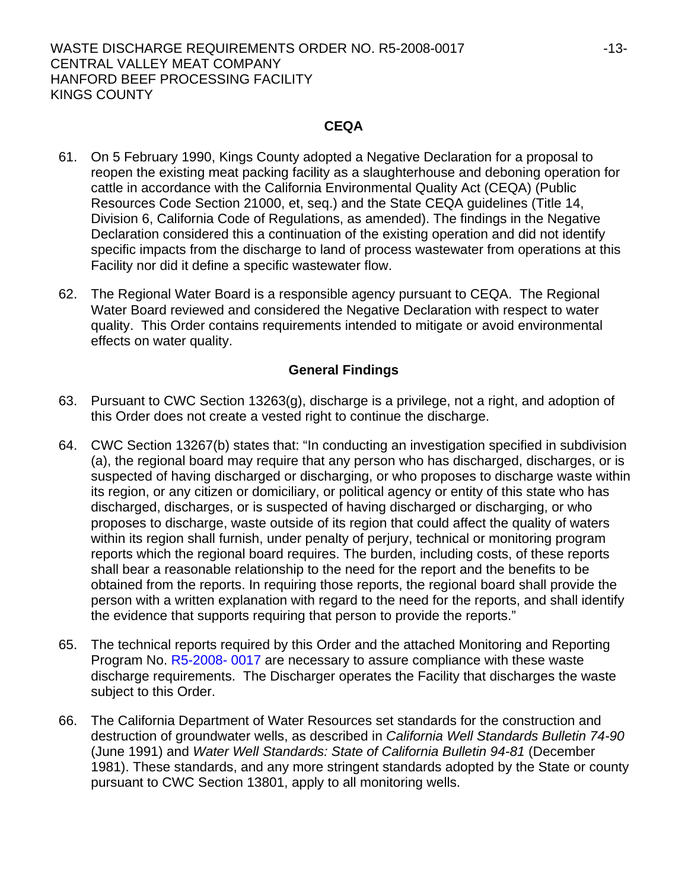### WASTE DISCHARGE REQUIREMENTS ORDER NO. R5-2008-0017 -13- CENTRAL VALLEY MEAT COMPANY HANFORD BEEF PROCESSING FACILITY KINGS COUNTY

### **CEQA**

- 61. On 5 February 1990, Kings County adopted a Negative Declaration for a proposal to reopen the existing meat packing facility as a slaughterhouse and deboning operation for cattle in accordance with the California Environmental Quality Act (CEQA) (Public Resources Code Section 21000, et, seq.) and the State CEQA guidelines (Title 14, Division 6, California Code of Regulations, as amended). The findings in the Negative Declaration considered this a continuation of the existing operation and did not identify specific impacts from the discharge to land of process wastewater from operations at this Facility nor did it define a specific wastewater flow.
- 62. The Regional Water Board is a responsible agency pursuant to CEQA. The Regional Water Board reviewed and considered the Negative Declaration with respect to water quality. This Order contains requirements intended to mitigate or avoid environmental effects on water quality.

## **General Findings**

- 63. Pursuant to CWC Section 13263(g), discharge is a privilege, not a right, and adoption of this Order does not create a vested right to continue the discharge.
- 64. CWC Section 13267(b) states that: "In conducting an investigation specified in subdivision (a), the regional board may require that any person who has discharged, discharges, or is suspected of having discharged or discharging, or who proposes to discharge waste within its region, or any citizen or domiciliary, or political agency or entity of this state who has discharged, discharges, or is suspected of having discharged or discharging, or who proposes to discharge, waste outside of its region that could affect the quality of waters within its region shall furnish, under penalty of perjury, technical or monitoring program reports which the regional board requires. The burden, including costs, of these reports shall bear a reasonable relationship to the need for the report and the benefits to be obtained from the reports. In requiring those reports, the regional board shall provide the person with a written explanation with regard to the need for the reports, and shall identify the evidence that supports requiring that person to provide the reports."
- 65. The technical reports required by this Order and the attached Monitoring and Reporting Program No. R5-2008- 0017 are necessary to assure compliance with these waste discharge requirements. The Discharger operates the Facility that discharges the waste subject to this Order.
- 66. The California Department of Water Resources set standards for the construction and destruction of groundwater wells, as described in *California Well Standards Bulletin 74-90*  (June 1991) and *Water Well Standards: State of California Bulletin 94-81* (December 1981). These standards, and any more stringent standards adopted by the State or county pursuant to CWC Section 13801, apply to all monitoring wells.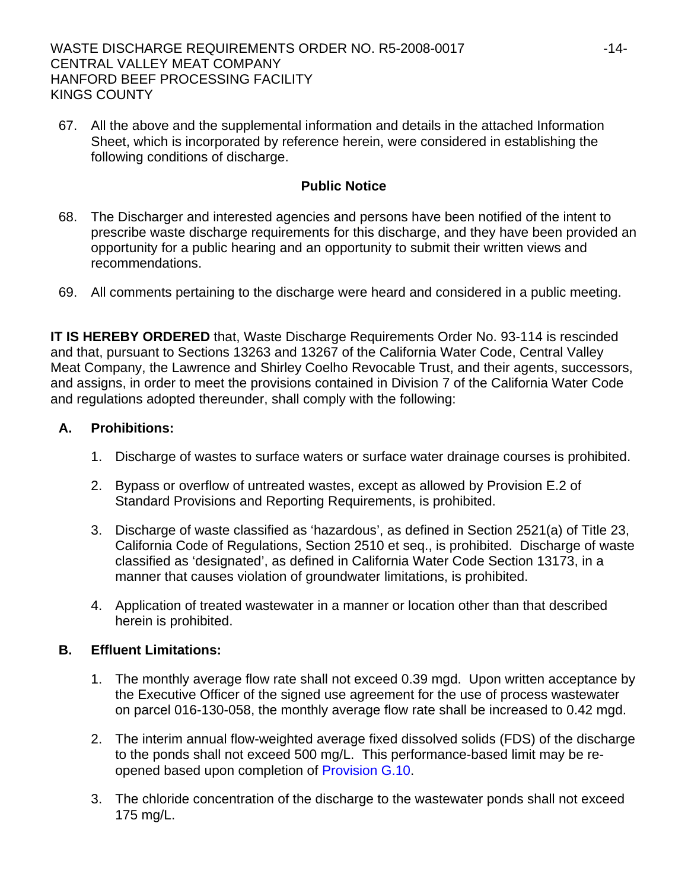67. All the above and the supplemental information and details in the attached Information Sheet, which is incorporated by reference herein, were considered in establishing the following conditions of discharge.

## **Public Notice**

- 68. The Discharger and interested agencies and persons have been notified of the intent to prescribe waste discharge requirements for this discharge, and they have been provided an opportunity for a public hearing and an opportunity to submit their written views and recommendations.
- 69. All comments pertaining to the discharge were heard and considered in a public meeting.

**IT IS HEREBY ORDERED** that, Waste Discharge Requirements Order No. 93-114 is rescinded and that, pursuant to Sections 13263 and 13267 of the California Water Code, Central Valley Meat Company, the Lawrence and Shirley Coelho Revocable Trust, and their agents, successors, and assigns, in order to meet the provisions contained in Division 7 of the California Water Code and regulations adopted thereunder, shall comply with the following:

## **A. Prohibitions:**

- 1. Discharge of wastes to surface waters or surface water drainage courses is prohibited.
- 2. Bypass or overflow of untreated wastes, except as allowed by Provision E.2 of Standard Provisions and Reporting Requirements, is prohibited.
- 3. Discharge of waste classified as 'hazardous', as defined in Section 2521(a) of Title 23, California Code of Regulations, Section 2510 et seq., is prohibited. Discharge of waste classified as 'designated', as defined in California Water Code Section 13173, in a manner that causes violation of groundwater limitations, is prohibited.
- 4. Application of treated wastewater in a manner or location other than that described herein is prohibited.

## **B. Effluent Limitations:**

- 1. The monthly average flow rate shall not exceed 0.39 mgd. Upon written acceptance by the Executive Officer of the signed use agreement for the use of process wastewater on parcel 016-130-058, the monthly average flow rate shall be increased to 0.42 mgd.
- 2. The interim annual flow-weighted average fixed dissolved solids (FDS) of the discharge to the ponds shall not exceed 500 mg/L. This performance-based limit may be reopened based upon completion of Provision G.10.
- 3. The chloride concentration of the discharge to the wastewater ponds shall not exceed 175 mg/L.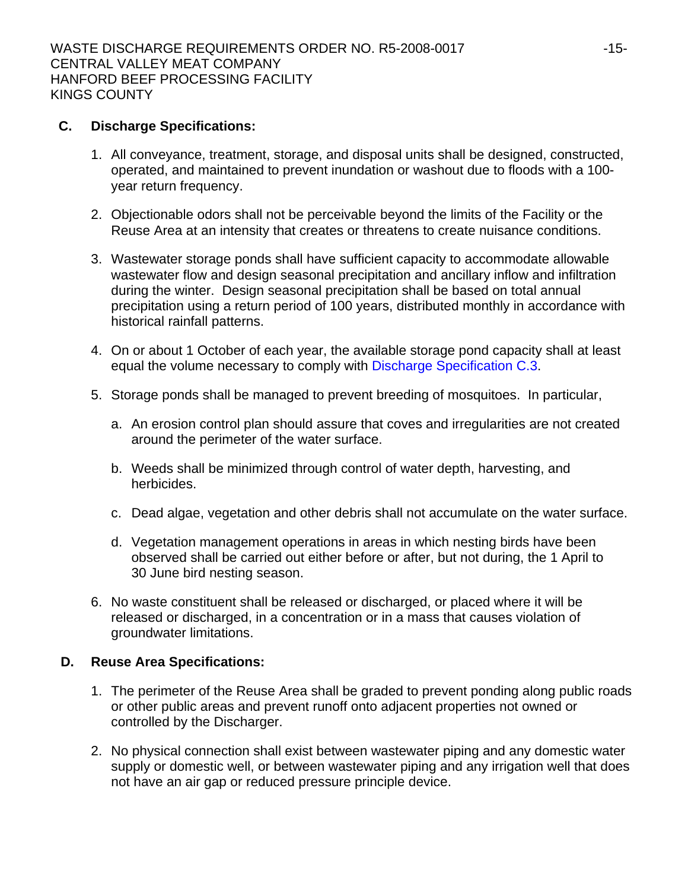## **C. Discharge Specifications:**

- 1. All conveyance, treatment, storage, and disposal units shall be designed, constructed, operated, and maintained to prevent inundation or washout due to floods with a 100 year return frequency.
- 2. Objectionable odors shall not be perceivable beyond the limits of the Facility or the Reuse Area at an intensity that creates or threatens to create nuisance conditions.
- 3. Wastewater storage ponds shall have sufficient capacity to accommodate allowable wastewater flow and design seasonal precipitation and ancillary inflow and infiltration during the winter. Design seasonal precipitation shall be based on total annual precipitation using a return period of 100 years, distributed monthly in accordance with historical rainfall patterns.
- 4. On or about 1 October of each year, the available storage pond capacity shall at least equal the volume necessary to comply with Discharge Specification C.3.
- 5. Storage ponds shall be managed to prevent breeding of mosquitoes. In particular,
	- a. An erosion control plan should assure that coves and irregularities are not created around the perimeter of the water surface.
	- b. Weeds shall be minimized through control of water depth, harvesting, and herbicides.
	- c. Dead algae, vegetation and other debris shall not accumulate on the water surface.
	- d. Vegetation management operations in areas in which nesting birds have been observed shall be carried out either before or after, but not during, the 1 April to 30 June bird nesting season.
- 6. No waste constituent shall be released or discharged, or placed where it will be released or discharged, in a concentration or in a mass that causes violation of groundwater limitations.

## **D. Reuse Area Specifications:**

- 1. The perimeter of the Reuse Area shall be graded to prevent ponding along public roads or other public areas and prevent runoff onto adjacent properties not owned or controlled by the Discharger.
- 2. No physical connection shall exist between wastewater piping and any domestic water supply or domestic well, or between wastewater piping and any irrigation well that does not have an air gap or reduced pressure principle device.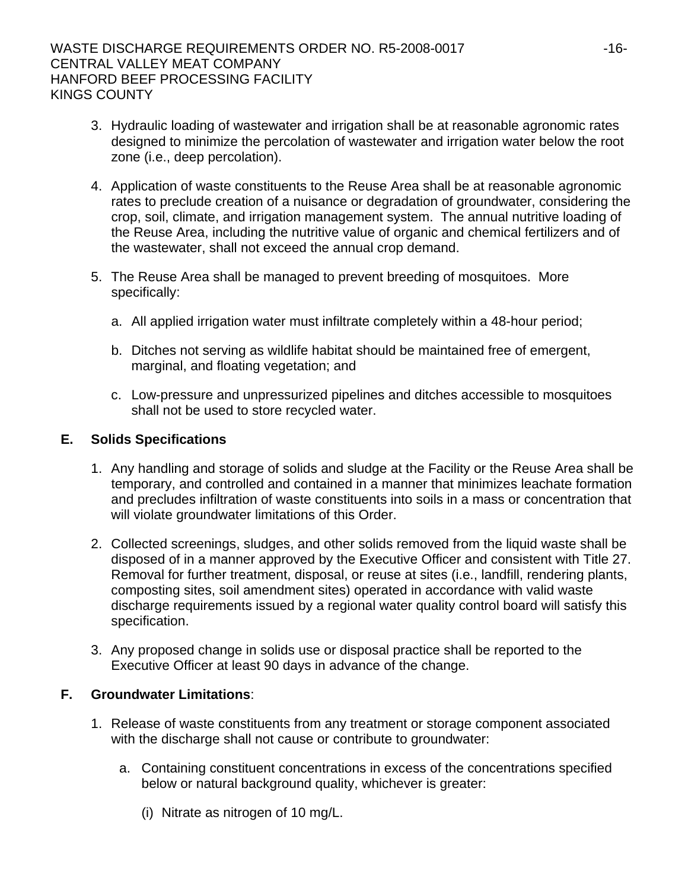- 3. Hydraulic loading of wastewater and irrigation shall be at reasonable agronomic rates designed to minimize the percolation of wastewater and irrigation water below the root zone (i.e., deep percolation).
- 4. Application of waste constituents to the Reuse Area shall be at reasonable agronomic rates to preclude creation of a nuisance or degradation of groundwater, considering the crop, soil, climate, and irrigation management system. The annual nutritive loading of the Reuse Area, including the nutritive value of organic and chemical fertilizers and of the wastewater, shall not exceed the annual crop demand.
- 5. The Reuse Area shall be managed to prevent breeding of mosquitoes. More specifically:
	- a. All applied irrigation water must infiltrate completely within a 48-hour period;
	- b. Ditches not serving as wildlife habitat should be maintained free of emergent, marginal, and floating vegetation; and
	- c. Low-pressure and unpressurized pipelines and ditches accessible to mosquitoes shall not be used to store recycled water.

## **E. Solids Specifications**

- 1. Any handling and storage of solids and sludge at the Facility or the Reuse Area shall be temporary, and controlled and contained in a manner that minimizes leachate formation and precludes infiltration of waste constituents into soils in a mass or concentration that will violate groundwater limitations of this Order.
- 2. Collected screenings, sludges, and other solids removed from the liquid waste shall be disposed of in a manner approved by the Executive Officer and consistent with Title 27. Removal for further treatment, disposal, or reuse at sites (i.e., landfill, rendering plants, composting sites, soil amendment sites) operated in accordance with valid waste discharge requirements issued by a regional water quality control board will satisfy this specification.
- 3. Any proposed change in solids use or disposal practice shall be reported to the Executive Officer at least 90 days in advance of the change.

## **F. Groundwater Limitations**:

- 1. Release of waste constituents from any treatment or storage component associated with the discharge shall not cause or contribute to groundwater:
	- a. Containing constituent concentrations in excess of the concentrations specified below or natural background quality, whichever is greater:
		- (i) Nitrate as nitrogen of 10 mg/L.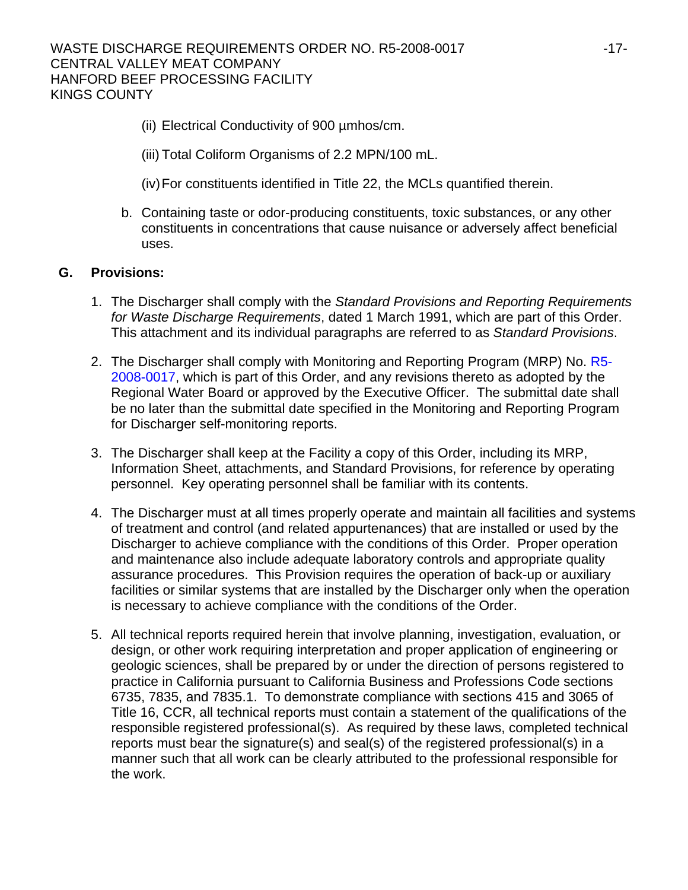- (ii) Electrical Conductivity of 900 µmhos/cm.
- (iii) Total Coliform Organisms of 2.2 MPN/100 mL.
- (iv) For constituents identified in Title 22, the MCLs quantified therein.
- b. Containing taste or odor-producing constituents, toxic substances, or any other constituents in concentrations that cause nuisance or adversely affect beneficial uses.

## **G. Provisions:**

- 1. The Discharger shall comply with the *Standard Provisions and Reporting Requirements for Waste Discharge Requirements*, dated 1 March 1991, which are part of this Order. This attachment and its individual paragraphs are referred to as *Standard Provisions*.
- 2. The Discharger shall comply with Monitoring and Reporting Program (MRP) No. R5-2008-0017, which is part of this Order, and any revisions thereto as adopted by the Regional Water Board or approved by the Executive Officer. The submittal date shall be no later than the submittal date specified in the Monitoring and Reporting Program for Discharger self-monitoring reports.
- 3. The Discharger shall keep at the Facility a copy of this Order, including its MRP, Information Sheet, attachments, and Standard Provisions, for reference by operating personnel. Key operating personnel shall be familiar with its contents.
- 4. The Discharger must at all times properly operate and maintain all facilities and systems of treatment and control (and related appurtenances) that are installed or used by the Discharger to achieve compliance with the conditions of this Order. Proper operation and maintenance also include adequate laboratory controls and appropriate quality assurance procedures. This Provision requires the operation of back-up or auxiliary facilities or similar systems that are installed by the Discharger only when the operation is necessary to achieve compliance with the conditions of the Order.
- 5. All technical reports required herein that involve planning, investigation, evaluation, or design, or other work requiring interpretation and proper application of engineering or geologic sciences, shall be prepared by or under the direction of persons registered to practice in California pursuant to California Business and Professions Code sections 6735, 7835, and 7835.1. To demonstrate compliance with sections 415 and 3065 of Title 16, CCR, all technical reports must contain a statement of the qualifications of the responsible registered professional(s). As required by these laws, completed technical reports must bear the signature(s) and seal(s) of the registered professional(s) in a manner such that all work can be clearly attributed to the professional responsible for the work.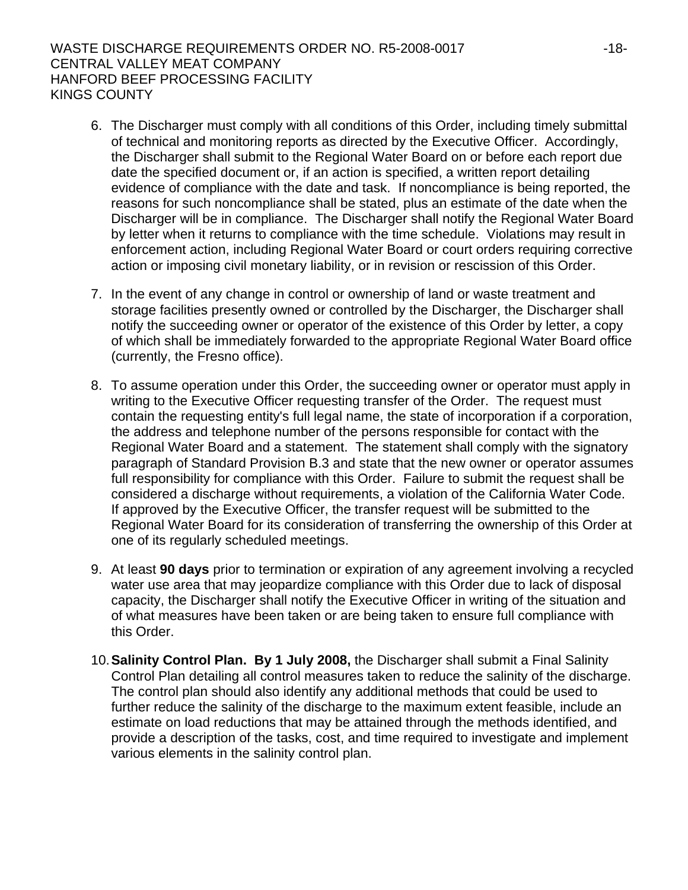### WASTE DISCHARGE REQUIREMENTS ORDER NO. R5-2008-0017 -18- CENTRAL VALLEY MEAT COMPANY HANFORD BEEF PROCESSING FACILITY KINGS COUNTY

- 6. The Discharger must comply with all conditions of this Order, including timely submittal of technical and monitoring reports as directed by the Executive Officer. Accordingly, the Discharger shall submit to the Regional Water Board on or before each report due date the specified document or, if an action is specified, a written report detailing evidence of compliance with the date and task. If noncompliance is being reported, the reasons for such noncompliance shall be stated, plus an estimate of the date when the Discharger will be in compliance. The Discharger shall notify the Regional Water Board by letter when it returns to compliance with the time schedule. Violations may result in enforcement action, including Regional Water Board or court orders requiring corrective action or imposing civil monetary liability, or in revision or rescission of this Order.
- 7. In the event of any change in control or ownership of land or waste treatment and storage facilities presently owned or controlled by the Discharger, the Discharger shall notify the succeeding owner or operator of the existence of this Order by letter, a copy of which shall be immediately forwarded to the appropriate Regional Water Board office (currently, the Fresno office).
- 8. To assume operation under this Order, the succeeding owner or operator must apply in writing to the Executive Officer requesting transfer of the Order. The request must contain the requesting entity's full legal name, the state of incorporation if a corporation, the address and telephone number of the persons responsible for contact with the Regional Water Board and a statement. The statement shall comply with the signatory paragraph of Standard Provision B.3 and state that the new owner or operator assumes full responsibility for compliance with this Order. Failure to submit the request shall be considered a discharge without requirements, a violation of the California Water Code. If approved by the Executive Officer, the transfer request will be submitted to the Regional Water Board for its consideration of transferring the ownership of this Order at one of its regularly scheduled meetings.
- 9. At least **90 days** prior to termination or expiration of any agreement involving a recycled water use area that may jeopardize compliance with this Order due to lack of disposal capacity, the Discharger shall notify the Executive Officer in writing of the situation and of what measures have been taken or are being taken to ensure full compliance with this Order.
- 10. **Salinity Control Plan. By 1 July 2008,** the Discharger shall submit a Final Salinity Control Plan detailing all control measures taken to reduce the salinity of the discharge. The control plan should also identify any additional methods that could be used to further reduce the salinity of the discharge to the maximum extent feasible, include an estimate on load reductions that may be attained through the methods identified, and provide a description of the tasks, cost, and time required to investigate and implement various elements in the salinity control plan.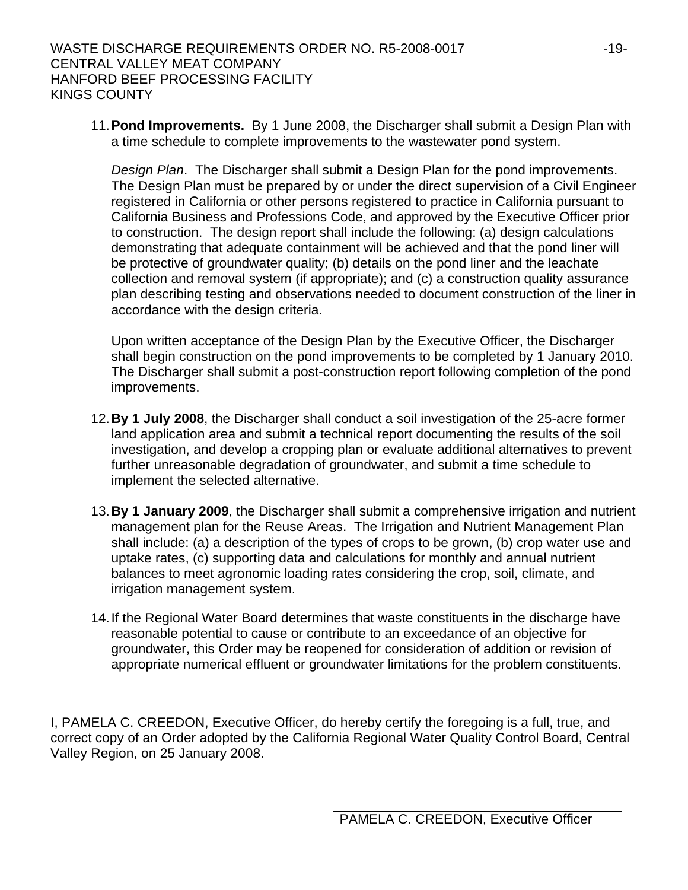11. **Pond Improvements.** By 1 June 2008, the Discharger shall submit a Design Plan with a time schedule to complete improvements to the wastewater pond system.

*Design Plan*. The Discharger shall submit a Design Plan for the pond improvements. The Design Plan must be prepared by or under the direct supervision of a Civil Engineer registered in California or other persons registered to practice in California pursuant to California Business and Professions Code, and approved by the Executive Officer prior to construction. The design report shall include the following: (a) design calculations demonstrating that adequate containment will be achieved and that the pond liner will be protective of groundwater quality; (b) details on the pond liner and the leachate collection and removal system (if appropriate); and (c) a construction quality assurance plan describing testing and observations needed to document construction of the liner in accordance with the design criteria.

Upon written acceptance of the Design Plan by the Executive Officer, the Discharger shall begin construction on the pond improvements to be completed by 1 January 2010. The Discharger shall submit a post-construction report following completion of the pond improvements.

- 12. **By 1 July 2008**, the Discharger shall conduct a soil investigation of the 25-acre former land application area and submit a technical report documenting the results of the soil investigation, and develop a cropping plan or evaluate additional alternatives to prevent further unreasonable degradation of groundwater, and submit a time schedule to implement the selected alternative.
- 13. **By 1 January 2009**, the Discharger shall submit a comprehensive irrigation and nutrient management plan for the Reuse Areas. The Irrigation and Nutrient Management Plan shall include: (a) a description of the types of crops to be grown, (b) crop water use and uptake rates, (c) supporting data and calculations for monthly and annual nutrient balances to meet agronomic loading rates considering the crop, soil, climate, and irrigation management system.
- 14. If the Regional Water Board determines that waste constituents in the discharge have reasonable potential to cause or contribute to an exceedance of an objective for groundwater, this Order may be reopened for consideration of addition or revision of appropriate numerical effluent or groundwater limitations for the problem constituents.

I, PAMELA C. CREEDON, Executive Officer, do hereby certify the foregoing is a full, true, and correct copy of an Order adopted by the California Regional Water Quality Control Board, Central Valley Region, on 25 January 2008.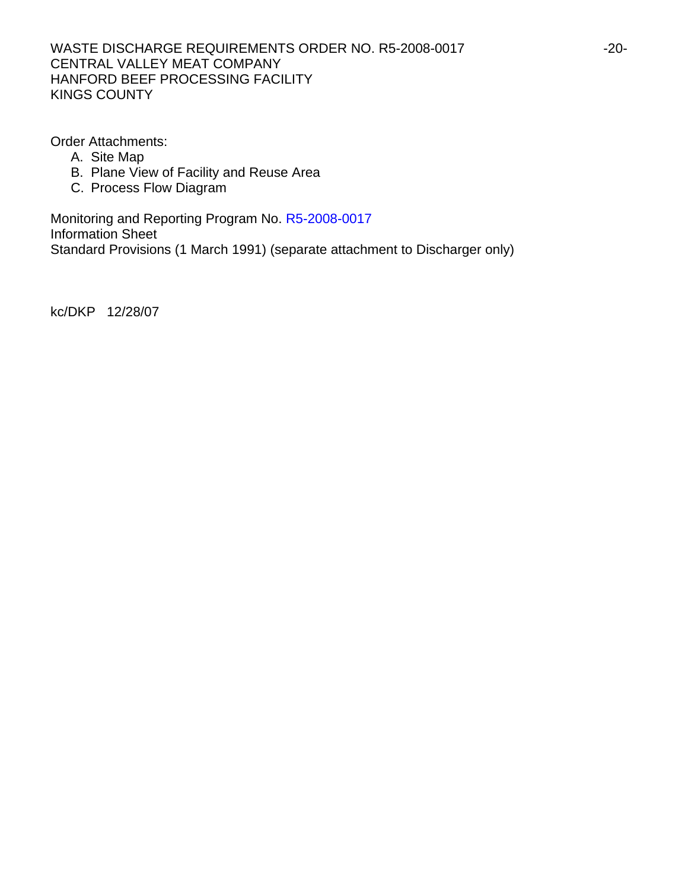### WASTE DISCHARGE REQUIREMENTS ORDER NO. R5-2008-0017 -20-CENTRAL VALLEY MEAT COMPANY HANFORD BEEF PROCESSING FACILITY KINGS COUNTY

Order Attachments:

- A. Site Map
- B. Plane View of Facility and Reuse Area
- C. Process Flow Diagram

Monitoring and Reporting Program No. R5-2008-0017 Information Sheet Standard Provisions (1 March 1991) (separate attachment to Discharger only)

kc/DKP 12/28/07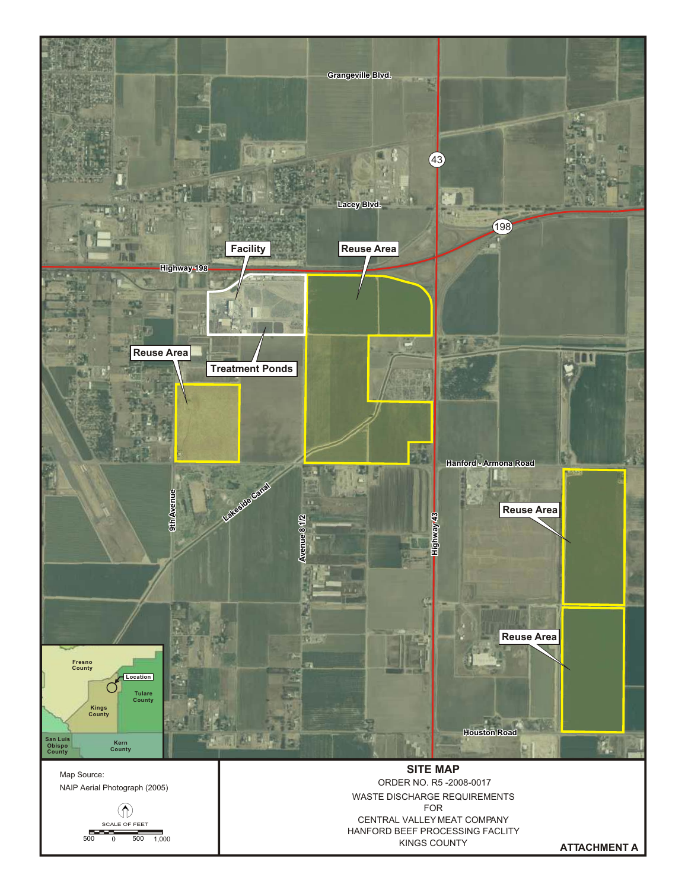

**ATTACHMENT A**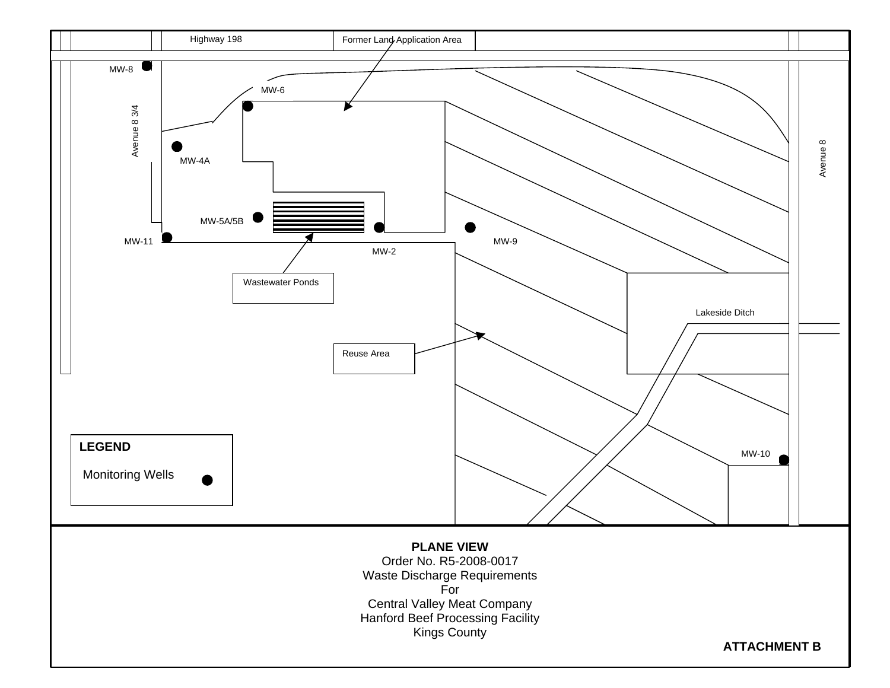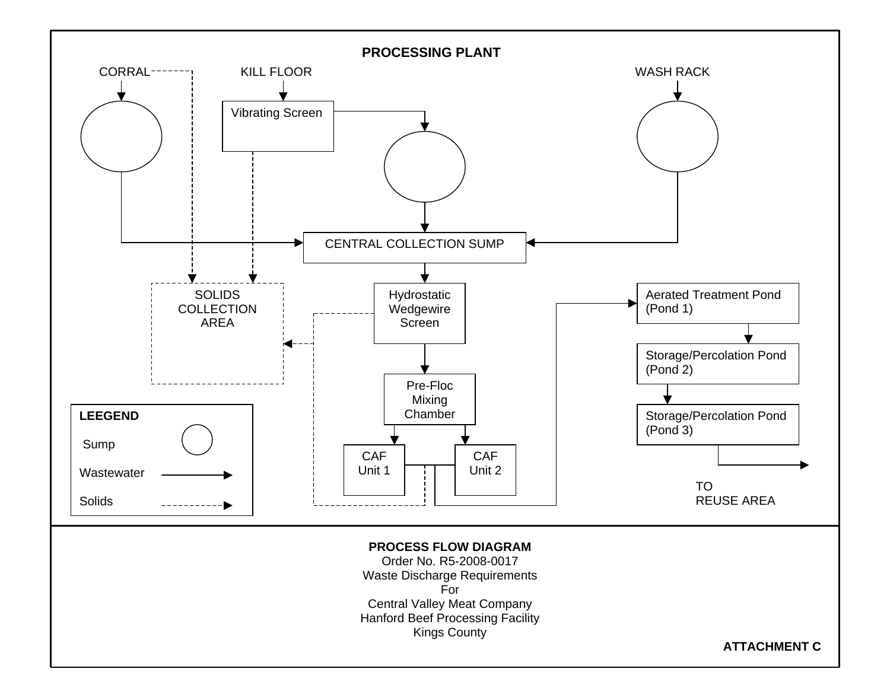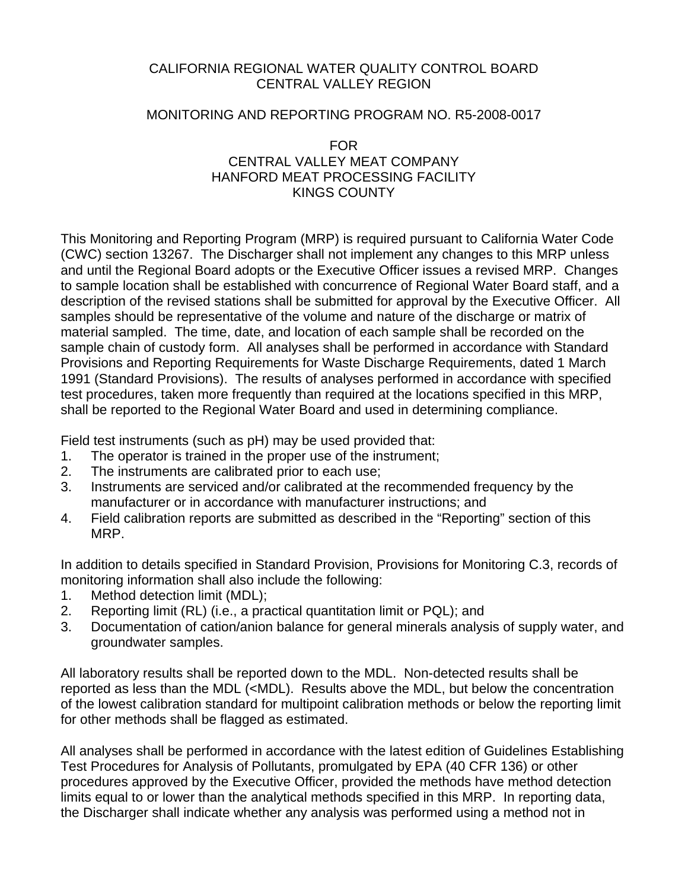## CALIFORNIA REGIONAL WATER QUALITY CONTROL BOARD CENTRAL VALLEY REGION

## MONITORING AND REPORTING PROGRAM NO. R5-2008-0017

## FOR CENTRAL VALLEY MEAT COMPANY HANFORD MEAT PROCESSING FACILITY KINGS COUNTY

This Monitoring and Reporting Program (MRP) is required pursuant to California Water Code (CWC) section 13267. The Discharger shall not implement any changes to this MRP unless and until the Regional Board adopts or the Executive Officer issues a revised MRP. Changes to sample location shall be established with concurrence of Regional Water Board staff, and a description of the revised stations shall be submitted for approval by the Executive Officer. All samples should be representative of the volume and nature of the discharge or matrix of material sampled. The time, date, and location of each sample shall be recorded on the sample chain of custody form. All analyses shall be performed in accordance with Standard Provisions and Reporting Requirements for Waste Discharge Requirements, dated 1 March 1991 (Standard Provisions). The results of analyses performed in accordance with specified test procedures, taken more frequently than required at the locations specified in this MRP, shall be reported to the Regional Water Board and used in determining compliance.

Field test instruments (such as pH) may be used provided that:

- 1. The operator is trained in the proper use of the instrument;
- 2. The instruments are calibrated prior to each use;
- 3. Instruments are serviced and/or calibrated at the recommended frequency by the manufacturer or in accordance with manufacturer instructions; and
- 4. Field calibration reports are submitted as described in the "Reporting" section of this MRP.

In addition to details specified in Standard Provision, Provisions for Monitoring C.3, records of monitoring information shall also include the following:

- 1. Method detection limit (MDL);
- 2. Reporting limit (RL) (i.e., a practical quantitation limit or PQL); and
- 3. Documentation of cation/anion balance for general minerals analysis of supply water, and groundwater samples.

All laboratory results shall be reported down to the MDL. Non-detected results shall be reported as less than the MDL (<MDL). Results above the MDL, but below the concentration of the lowest calibration standard for multipoint calibration methods or below the reporting limit for other methods shall be flagged as estimated.

All analyses shall be performed in accordance with the latest edition of Guidelines Establishing Test Procedures for Analysis of Pollutants, promulgated by EPA (40 CFR 136) or other procedures approved by the Executive Officer, provided the methods have method detection limits equal to or lower than the analytical methods specified in this MRP. In reporting data, the Discharger shall indicate whether any analysis was performed using a method not in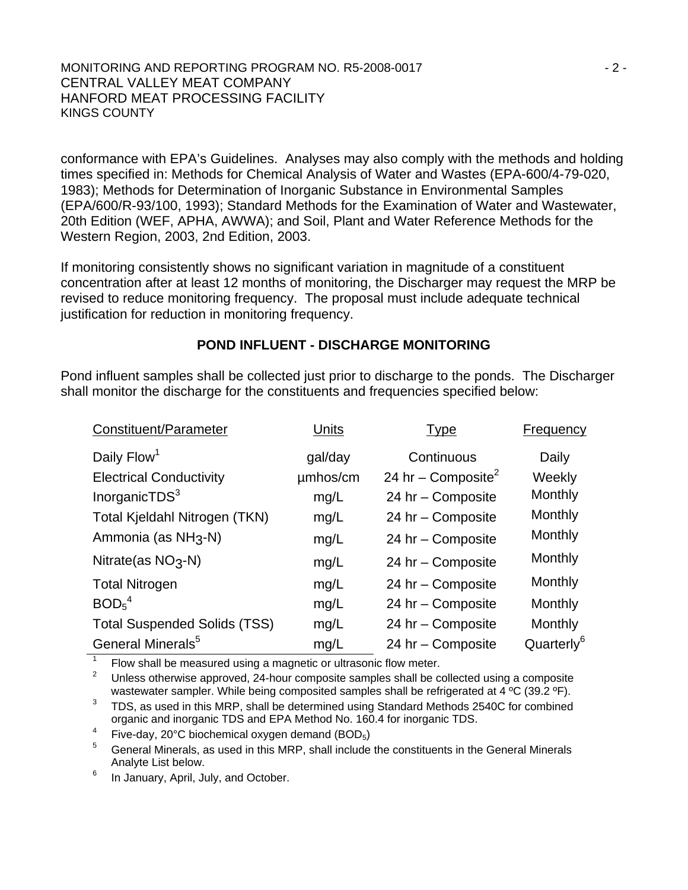#### MONITORING AND REPORTING PROGRAM NO. R5-2008-0017 **Fig. 10.13 and 2.5 and 2.4** 2 -CENTRAL VALLEY MEAT COMPANY HANFORD MEAT PROCESSING FACILITY KINGS COUNTY

conformance with EPA's Guidelines. Analyses may also comply with the methods and holding times specified in: Methods for Chemical Analysis of Water and Wastes (EPA-600/4-79-020, 1983); Methods for Determination of Inorganic Substance in Environmental Samples (EPA/600/R-93/100, 1993); Standard Methods for the Examination of Water and Wastewater, 20th Edition (WEF, APHA, AWWA); and Soil, Plant and Water Reference Methods for the Western Region, 2003, 2nd Edition, 2003.

If monitoring consistently shows no significant variation in magnitude of a constituent concentration after at least 12 months of monitoring, the Discharger may request the MRP be revised to reduce monitoring frequency. The proposal must include adequate technical justification for reduction in monitoring frequency.

## **POND INFLUENT - DISCHARGE MONITORING**

Pond influent samples shall be collected just prior to discharge to the ponds. The Discharger shall monitor the discharge for the constituents and frequencies specified below:

| Constituent/Parameter               | Units    | <b>Type</b>                    | <b>Frequency</b>       |
|-------------------------------------|----------|--------------------------------|------------------------|
| Daily Flow <sup>1</sup>             | gal/day  | Continuous                     | Daily                  |
| <b>Electrical Conductivity</b>      | umhos/cm | 24 hr – Composite <sup>2</sup> | Weekly                 |
| InorganicTDS <sup>3</sup>           | mg/L     | 24 hr - Composite              | Monthly                |
| Total Kjeldahl Nitrogen (TKN)       | mg/L     | 24 hr - Composite              | Monthly                |
| Ammonia (as NH <sub>3</sub> -N)     | mg/L     | 24 hr - Composite              | Monthly                |
| Nitrate(as $NO3$ -N)                | mg/L     | 24 hr - Composite              | Monthly                |
| <b>Total Nitrogen</b>               | mg/L     | 24 hr - Composite              | Monthly                |
| BOD <sub>5</sub> <sup>4</sup>       | mg/L     | 24 hr - Composite              | Monthly                |
| <b>Total Suspended Solids (TSS)</b> | mg/L     | 24 hr - Composite              | Monthly                |
| General Minerals <sup>5</sup>       | mg/L     | 24 hr - Composite              | Quarterly <sup>6</sup> |

1 Flow shall be measured using a magnetic or ultrasonic flow meter.

2 Unless otherwise approved, 24-hour composite samples shall be collected using a composite wastewater sampler. While being composited samples shall be refrigerated at 4 °C (39.2 °F).

3 TDS, as used in this MRP, shall be determined using Standard Methods 2540C for combined organic and inorganic TDS and EPA Method No. 160.4 for inorganic TDS.

4 Five-day, 20 $\degree$ C biochemical oxygen demand (BOD<sub>5</sub>)

5 General Minerals, as used in this MRP, shall include the constituents in the General Minerals Analyte List below.

6 In January, April, July, and October.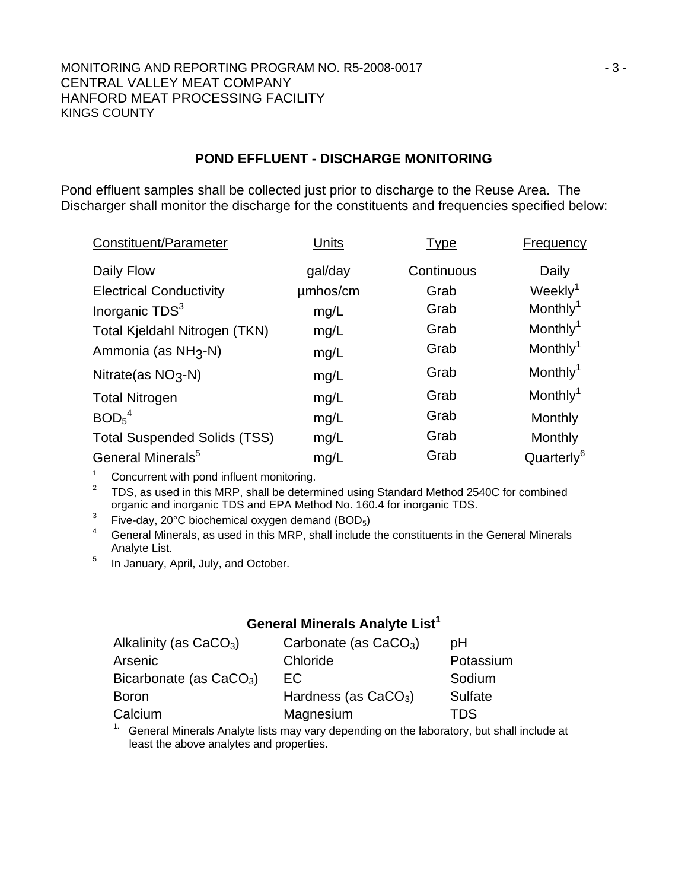#### MONITORING AND REPORTING PROGRAM NO. R5-2008-0017 43-CENTRAL VALLEY MEAT COMPANY HANFORD MEAT PROCESSING FACILITY KINGS COUNTY

### **POND EFFLUENT - DISCHARGE MONITORING**

Pond effluent samples shall be collected just prior to discharge to the Reuse Area. The Discharger shall monitor the discharge for the constituents and frequencies specified below:

| Constituent/Parameter               | Units    | Type       | Frequency              |
|-------------------------------------|----------|------------|------------------------|
| Daily Flow                          | gal/day  | Continuous | Daily                  |
| <b>Electrical Conductivity</b>      | umhos/cm | Grab       | Weekly <sup>1</sup>    |
| Inorganic TDS <sup>3</sup>          | mg/L     | Grab       | Monthly <sup>1</sup>   |
| Total Kjeldahl Nitrogen (TKN)       | mg/L     | Grab       | Monthly <sup>1</sup>   |
| Ammonia (as NH <sub>3</sub> -N)     | mg/L     | Grab       | Monthly <sup>1</sup>   |
| Nitrate(as $NO3$ -N)                | mg/L     | Grab       | Monthly <sup>1</sup>   |
| <b>Total Nitrogen</b>               | mg/L     | Grab       | Monthly <sup>1</sup>   |
| BOD <sub>5</sub> <sup>4</sup>       | mg/L     | Grab       | Monthly                |
| <b>Total Suspended Solids (TSS)</b> | mg/L     | Grab       | Monthly                |
| General Minerals <sup>5</sup>       | mg/L     | Grab       | Quarterly <sup>6</sup> |

<sup>1</sup> Concurrent with pond influent monitoring.

2 TDS, as used in this MRP, shall be determined using Standard Method 2540C for combined organic and inorganic TDS and EPA Method No. 160.4 for inorganic TDS.

3 Five-day, 20°C biochemical oxygen demand (BOD5)

4 General Minerals, as used in this MRP, shall include the constituents in the General Minerals Analyte List.

5 In January, April, July, and October.

## **General Minerals Analyte List<sup>1</sup>**

| Alkalinity (as $CaCO3$ )  | Carbonate (as $CaCO3$ ) | рH        |
|---------------------------|-------------------------|-----------|
| Arsenic                   | Chloride                | Potassium |
| Bicarbonate (as $CaCO3$ ) | EC.                     | Sodium    |
| <b>Boron</b>              | Hardness (as $CaCO3$ )  | Sulfate   |
| Calcium                   | Magnesium               | TDS       |

1. General Minerals Analyte lists may vary depending on the laboratory, but shall include at least the above analytes and properties.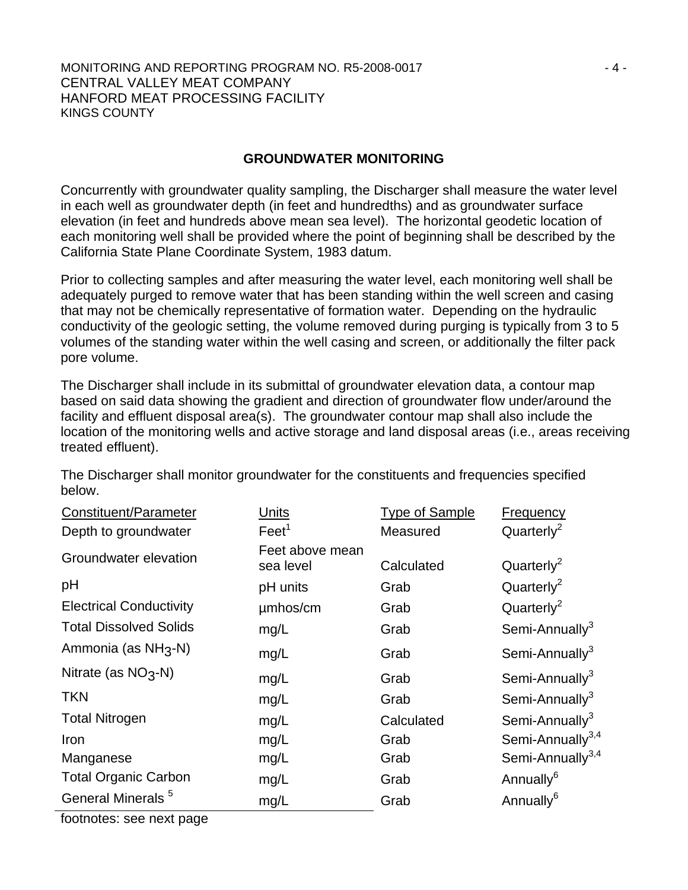#### MONITORING AND REPORTING PROGRAM NO. R5-2008-0017 FALL CONDUCTS A 4-CENTRAL VALLEY MEAT COMPANY HANFORD MEAT PROCESSING FACILITY KINGS COUNTY

### **GROUNDWATER MONITORING**

Concurrently with groundwater quality sampling, the Discharger shall measure the water level in each well as groundwater depth (in feet and hundredths) and as groundwater surface elevation (in feet and hundreds above mean sea level). The horizontal geodetic location of each monitoring well shall be provided where the point of beginning shall be described by the California State Plane Coordinate System, 1983 datum.

Prior to collecting samples and after measuring the water level, each monitoring well shall be adequately purged to remove water that has been standing within the well screen and casing that may not be chemically representative of formation water. Depending on the hydraulic conductivity of the geologic setting, the volume removed during purging is typically from 3 to 5 volumes of the standing water within the well casing and screen, or additionally the filter pack pore volume.

The Discharger shall include in its submittal of groundwater elevation data, a contour map based on said data showing the gradient and direction of groundwater flow under/around the facility and effluent disposal area(s). The groundwater contour map shall also include the location of the monitoring wells and active storage and land disposal areas (i.e., areas receiving treated effluent).

The Discharger shall monitor groundwater for the constituents and frequencies specified below.

| Constituent/Parameter           | Units                        | <b>Type of Sample</b> | <b>Frequency</b>             |
|---------------------------------|------------------------------|-----------------------|------------------------------|
| Depth to groundwater            | Feet <sup>1</sup>            | Measured              | Quarterly <sup>2</sup>       |
| Groundwater elevation           | Feet above mean<br>sea level | Calculated            | Quarterly <sup>2</sup>       |
| pH                              | pH units                     | Grab                  | Quarterly <sup>2</sup>       |
| <b>Electrical Conductivity</b>  | umhos/cm                     | Grab                  | Quarterly <sup>2</sup>       |
| <b>Total Dissolved Solids</b>   | mg/L                         | Grab                  | Semi-Annually <sup>3</sup>   |
| Ammonia (as NH <sub>3</sub> -N) | mg/L                         | Grab                  | Semi-Annually <sup>3</sup>   |
| Nitrate (as $NO3$ -N)           | mg/L                         | Grab                  | Semi-Annually <sup>3</sup>   |
| <b>TKN</b>                      | mg/L                         | Grab                  | Semi-Annually <sup>3</sup>   |
| <b>Total Nitrogen</b>           | mg/L                         | Calculated            | Semi-Annually <sup>3</sup>   |
| Iron                            | mg/L                         | Grab                  | Semi-Annually <sup>3,4</sup> |
| Manganese                       | mg/L                         | Grab                  | Semi-Annually <sup>3,4</sup> |
| <b>Total Organic Carbon</b>     | mg/L                         | Grab                  | Annually <sup>6</sup>        |
| General Minerals <sup>5</sup>   | mg/L                         | Grab                  | Annually <sup>6</sup>        |

footnotes: see next page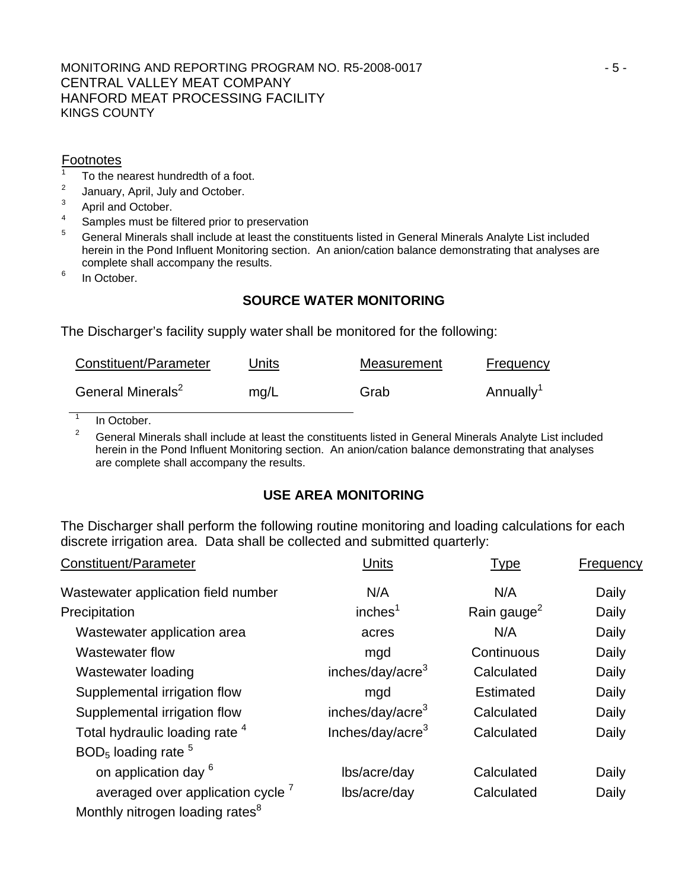#### MONITORING AND REPORTING PROGRAM NO. R5-2008-0017 F5-CENTRAL VALLEY MEAT COMPANY HANFORD MEAT PROCESSING FACILITY KINGS COUNTY

### **Footnotes**

- 1 To the nearest hundredth of a foot.
- 2 January, April, July and October.
- 3 April and October.
- 4 Samples must be filtered prior to preservation
- 5 General Minerals shall include at least the constituents listed in General Minerals Analyte List included herein in the Pond Influent Monitoring section. An anion/cation balance demonstrating that analyses are complete shall accompany the results.
- 6 In October.

## **SOURCE WATER MONITORING**

The Discharger's facility supply water shall be monitored for the following:

| Constituent/Parameter         | Units | Measurement | Frequency             |
|-------------------------------|-------|-------------|-----------------------|
| General Minerals <sup>2</sup> | mq/L  | Grab        | Annually <sup>1</sup> |

1 In October.

2 General Minerals shall include at least the constituents listed in General Minerals Analyte List included herein in the Pond Influent Monitoring section. An anion/cation balance demonstrating that analyses are complete shall accompany the results.

## **USE AREA MONITORING**

The Discharger shall perform the following routine monitoring and loading calculations for each discrete irrigation area. Data shall be collected and submitted quarterly:

| Constituent/Parameter                        | Units                        | <b>Type</b>             | <b>Frequency</b> |
|----------------------------------------------|------------------------------|-------------------------|------------------|
| Wastewater application field number          | N/A                          | N/A                     | Daily            |
| Precipitation                                | inches <sup>1</sup>          | Rain gauge <sup>2</sup> | Daily            |
| Wastewater application area                  | acres                        | N/A                     | Daily            |
| Wastewater flow                              | mgd                          | Continuous              | Daily            |
| Wastewater loading                           | inches/day/acre <sup>3</sup> | Calculated              | Daily            |
| Supplemental irrigation flow                 | mgd                          | <b>Estimated</b>        | Daily            |
| Supplemental irrigation flow                 | inches/day/acre <sup>3</sup> | Calculated              | Daily            |
| Total hydraulic loading rate 4               | Inches/day/acre <sup>3</sup> | Calculated              | Daily            |
| $BOD5$ loading rate $5$                      |                              |                         |                  |
| on application day <sup>6</sup>              | lbs/acre/day                 | Calculated              | Daily            |
| averaged over application cycle <sup>7</sup> | lbs/acre/day                 | Calculated              | Daily            |
| Monthly nitrogen loading rates <sup>8</sup>  |                              |                         |                  |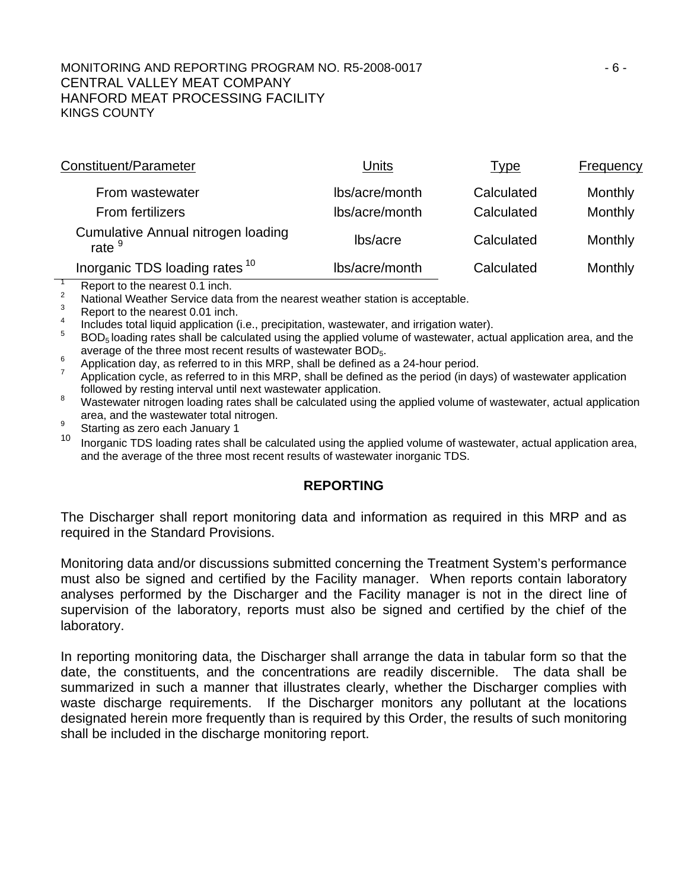#### MONITORING AND REPORTING PROGRAM NO. R5-2008-0017 FOR AND THE RESIDENCE OF A SAMPLE RESIDENCE. CENTRAL VALLEY MEAT COMPANY HANFORD MEAT PROCESSING FACILITY KINGS COUNTY

| Constituent/Parameter                                 | Units          | <u>Type</u> | <b>Frequency</b> |
|-------------------------------------------------------|----------------|-------------|------------------|
| From wastewater                                       | lbs/acre/month | Calculated  | Monthly          |
| <b>From fertilizers</b>                               | lbs/acre/month | Calculated  | Monthly          |
| <b>Cumulative Annual nitrogen loading</b><br>rate $9$ | lbs/acre       | Calculated  | Monthly          |
| Inorganic TDS loading rates <sup>10</sup>             | lbs/acre/month | Calculated  | Monthly          |

 $\overline{\phantom{a}}$ Report to the nearest 0.1 inch.

2 <sup>2</sup> National Weather Service data from the nearest weather station is acceptable.

Report to the nearest 0.01 inch.

4 Includes total liquid application (i.e., precipitation, wastewater, and irrigation water).

BOD<sub>5</sub> loading rates shall be calculated using the applied volume of wastewater, actual application area, and the average of the three most recent results of wastewater  $BOD_5$ .

 $^{6}$  Application day, as referred to in this MRP, shall be defined as a 24-hour period.

 Application cycle, as referred to in this MRP, shall be defined as the period (in days) of wastewater application followed by resting interval until next wastewater application.

 Wastewater nitrogen loading rates shall be calculated using the applied volume of wastewater, actual application area, and the wastewater total nitrogen.

 $\frac{9}{10}$  Starting as zero each January 1

Inorganic TDS loading rates shall be calculated using the applied volume of wastewater, actual application area, and the average of the three most recent results of wastewater inorganic TDS.

## **REPORTING**

The Discharger shall report monitoring data and information as required in this MRP and as required in the Standard Provisions.

Monitoring data and/or discussions submitted concerning the Treatment System's performance must also be signed and certified by the Facility manager. When reports contain laboratory analyses performed by the Discharger and the Facility manager is not in the direct line of supervision of the laboratory, reports must also be signed and certified by the chief of the laboratory.

In reporting monitoring data, the Discharger shall arrange the data in tabular form so that the date, the constituents, and the concentrations are readily discernible. The data shall be summarized in such a manner that illustrates clearly, whether the Discharger complies with waste discharge requirements. If the Discharger monitors any pollutant at the locations designated herein more frequently than is required by this Order, the results of such monitoring shall be included in the discharge monitoring report.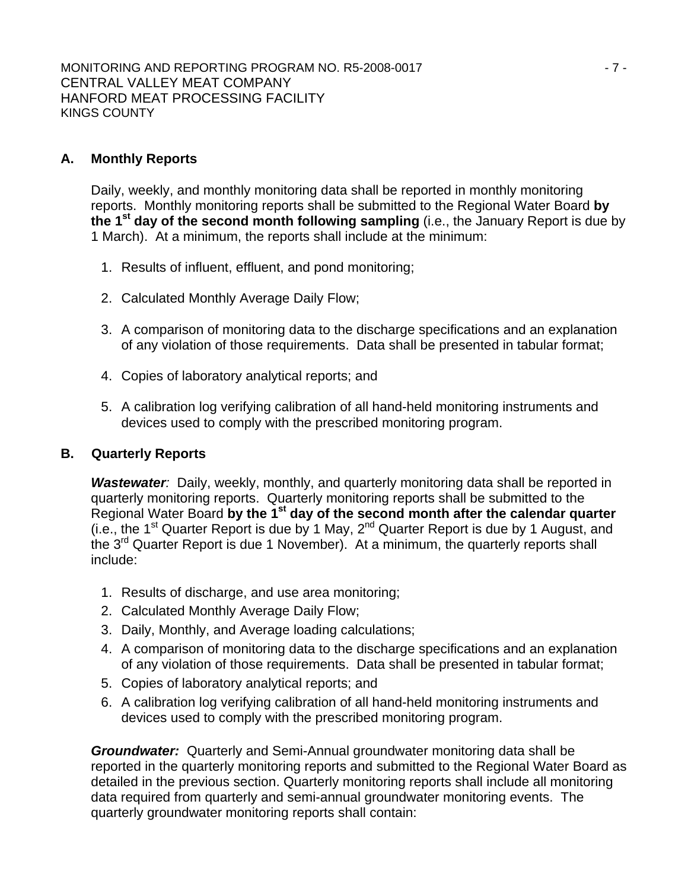## **A. Monthly Reports**

Daily, weekly, and monthly monitoring data shall be reported in monthly monitoring reports. Monthly monitoring reports shall be submitted to the Regional Water Board **by the 1st day of the second month following sampling** (i.e., the January Report is due by 1 March). At a minimum, the reports shall include at the minimum:

- 1. Results of influent, effluent, and pond monitoring;
- 2. Calculated Monthly Average Daily Flow;
- 3. A comparison of monitoring data to the discharge specifications and an explanation of any violation of those requirements. Data shall be presented in tabular format;
- 4. Copies of laboratory analytical reports; and
- 5. A calibration log verifying calibration of all hand-held monitoring instruments and devices used to comply with the prescribed monitoring program.

## **B. Quarterly Reports**

*Wastewater:* Daily, weekly, monthly, and quarterly monitoring data shall be reported in quarterly monitoring reports. Quarterly monitoring reports shall be submitted to the Regional Water Board **by the 1st day of the second month after the calendar quarter** (i.e., the 1<sup>st</sup> Quarter Report is due by 1 May,  $2^{nd}$  Quarter Report is due by 1 August, and the 3<sup>rd</sup> Quarter Report is due 1 November). At a minimum, the quarterly reports shall include:

- 1. Results of discharge, and use area monitoring;
- 2. Calculated Monthly Average Daily Flow;
- 3. Daily, Monthly, and Average loading calculations;
- 4. A comparison of monitoring data to the discharge specifications and an explanation of any violation of those requirements. Data shall be presented in tabular format;
- 5. Copies of laboratory analytical reports; and
- 6. A calibration log verifying calibration of all hand-held monitoring instruments and devices used to comply with the prescribed monitoring program.

*Groundwater:* Quarterly and Semi-Annual groundwater monitoring data shall be reported in the quarterly monitoring reports and submitted to the Regional Water Board as detailed in the previous section. Quarterly monitoring reports shall include all monitoring data required from quarterly and semi-annual groundwater monitoring events. The quarterly groundwater monitoring reports shall contain: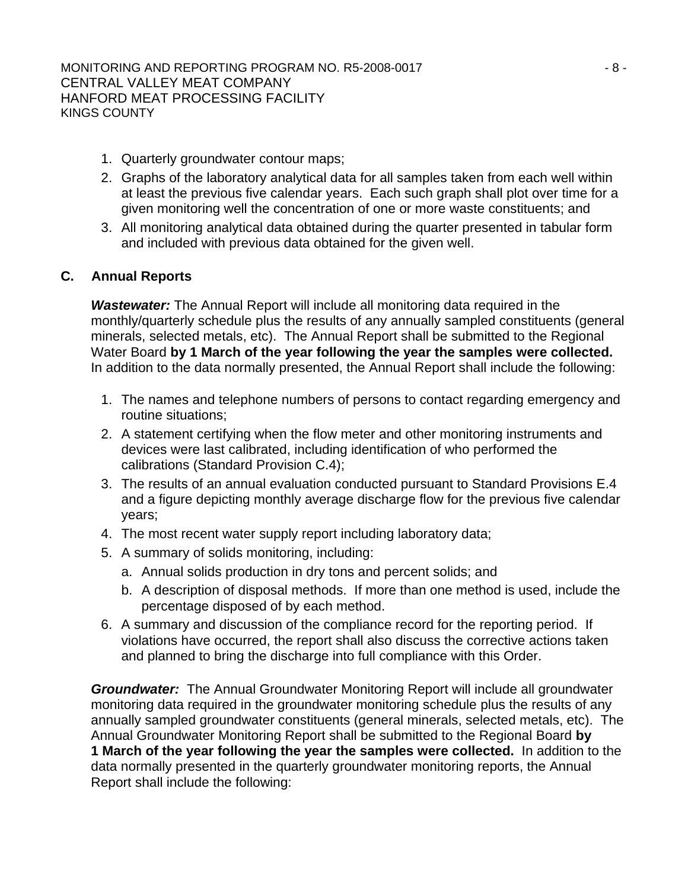- 1. Quarterly groundwater contour maps;
- 2. Graphs of the laboratory analytical data for all samples taken from each well within at least the previous five calendar years. Each such graph shall plot over time for a given monitoring well the concentration of one or more waste constituents; and
- 3. All monitoring analytical data obtained during the quarter presented in tabular form and included with previous data obtained for the given well.

## **C. Annual Reports**

*Wastewater:* The Annual Report will include all monitoring data required in the monthly/quarterly schedule plus the results of any annually sampled constituents (general minerals, selected metals, etc). The Annual Report shall be submitted to the Regional Water Board **by 1 March of the year following the year the samples were collected.**  In addition to the data normally presented, the Annual Report shall include the following:

- 1. The names and telephone numbers of persons to contact regarding emergency and routine situations;
- 2. A statement certifying when the flow meter and other monitoring instruments and devices were last calibrated, including identification of who performed the calibrations (Standard Provision C.4);
- 3. The results of an annual evaluation conducted pursuant to Standard Provisions E.4 and a figure depicting monthly average discharge flow for the previous five calendar years;
- 4. The most recent water supply report including laboratory data;
- 5. A summary of solids monitoring, including:
	- a. Annual solids production in dry tons and percent solids; and
	- b. A description of disposal methods. If more than one method is used, include the percentage disposed of by each method.
- 6. A summary and discussion of the compliance record for the reporting period. If violations have occurred, the report shall also discuss the corrective actions taken and planned to bring the discharge into full compliance with this Order.

*Groundwater:* The Annual Groundwater Monitoring Report will include all groundwater monitoring data required in the groundwater monitoring schedule plus the results of any annually sampled groundwater constituents (general minerals, selected metals, etc). The Annual Groundwater Monitoring Report shall be submitted to the Regional Board **by 1 March of the year following the year the samples were collected.** In addition to the data normally presented in the quarterly groundwater monitoring reports, the Annual Report shall include the following: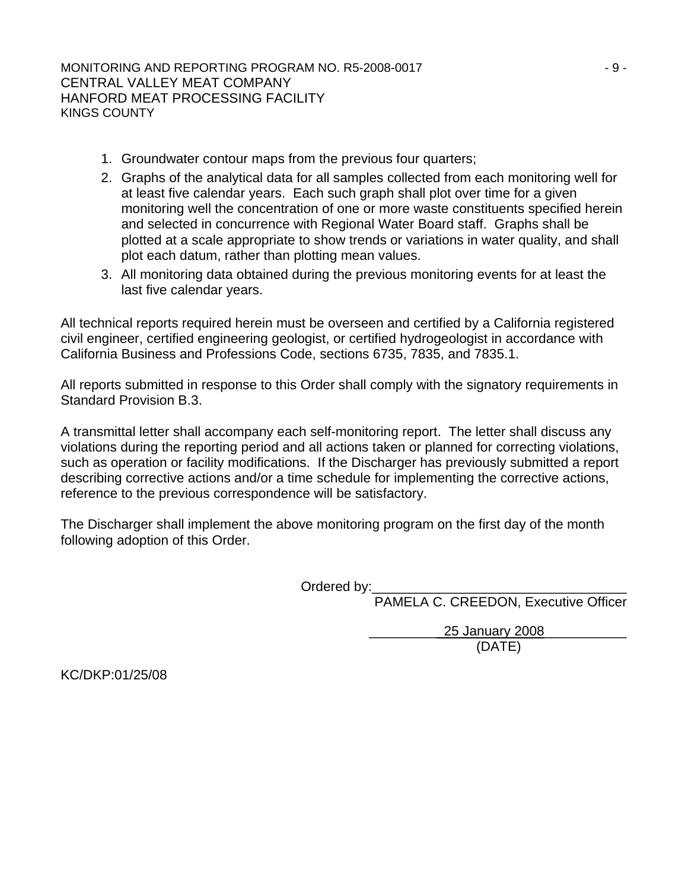- 1. Groundwater contour maps from the previous four quarters;
- 2. Graphs of the analytical data for all samples collected from each monitoring well for at least five calendar years. Each such graph shall plot over time for a given monitoring well the concentration of one or more waste constituents specified herein and selected in concurrence with Regional Water Board staff. Graphs shall be plotted at a scale appropriate to show trends or variations in water quality, and shall plot each datum, rather than plotting mean values.
- 3. All monitoring data obtained during the previous monitoring events for at least the last five calendar years.

All technical reports required herein must be overseen and certified by a California registered civil engineer, certified engineering geologist, or certified hydrogeologist in accordance with California Business and Professions Code, sections 6735, 7835, and 7835.1.

All reports submitted in response to this Order shall comply with the signatory requirements in Standard Provision B.3.

A transmittal letter shall accompany each self-monitoring report. The letter shall discuss any violations during the reporting period and all actions taken or planned for correcting violations, such as operation or facility modifications. If the Discharger has previously submitted a report describing corrective actions and/or a time schedule for implementing the corrective actions, reference to the previous correspondence will be satisfactory.

The Discharger shall implement the above monitoring program on the first day of the month following adoption of this Order.

Ordered by:\_

PAMELA C. CREEDON, Executive Officer

 \_\_\_\_\_\_\_\_\_ 25 January 2008\_\_\_\_\_\_\_\_\_\_\_ (DATE)

KC/DKP:01/25/08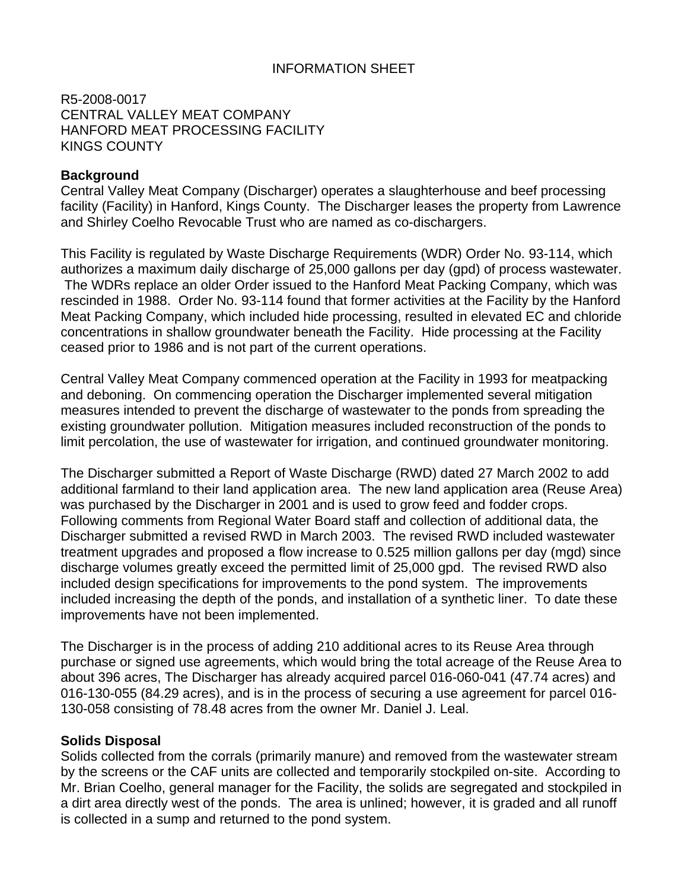## INFORMATION SHEET

R5-2008-0017 CENTRAL VALLEY MEAT COMPANY HANFORD MEAT PROCESSING FACILITY KINGS COUNTY

### **Background**

Central Valley Meat Company (Discharger) operates a slaughterhouse and beef processing facility (Facility) in Hanford, Kings County. The Discharger leases the property from Lawrence and Shirley Coelho Revocable Trust who are named as co-dischargers.

This Facility is regulated by Waste Discharge Requirements (WDR) Order No. 93-114, which authorizes a maximum daily discharge of 25,000 gallons per day (gpd) of process wastewater. The WDRs replace an older Order issued to the Hanford Meat Packing Company, which was rescinded in 1988. Order No. 93-114 found that former activities at the Facility by the Hanford Meat Packing Company, which included hide processing, resulted in elevated EC and chloride concentrations in shallow groundwater beneath the Facility. Hide processing at the Facility ceased prior to 1986 and is not part of the current operations.

Central Valley Meat Company commenced operation at the Facility in 1993 for meatpacking and deboning. On commencing operation the Discharger implemented several mitigation measures intended to prevent the discharge of wastewater to the ponds from spreading the existing groundwater pollution. Mitigation measures included reconstruction of the ponds to limit percolation, the use of wastewater for irrigation, and continued groundwater monitoring.

The Discharger submitted a Report of Waste Discharge (RWD) dated 27 March 2002 to add additional farmland to their land application area. The new land application area (Reuse Area) was purchased by the Discharger in 2001 and is used to grow feed and fodder crops. Following comments from Regional Water Board staff and collection of additional data, the Discharger submitted a revised RWD in March 2003. The revised RWD included wastewater treatment upgrades and proposed a flow increase to 0.525 million gallons per day (mgd) since discharge volumes greatly exceed the permitted limit of 25,000 gpd. The revised RWD also included design specifications for improvements to the pond system. The improvements included increasing the depth of the ponds, and installation of a synthetic liner. To date these improvements have not been implemented.

The Discharger is in the process of adding 210 additional acres to its Reuse Area through purchase or signed use agreements, which would bring the total acreage of the Reuse Area to about 396 acres, The Discharger has already acquired parcel 016-060-041 (47.74 acres) and 016-130-055 (84.29 acres), and is in the process of securing a use agreement for parcel 016- 130-058 consisting of 78.48 acres from the owner Mr. Daniel J. Leal.

#### **Solids Disposal**

Solids collected from the corrals (primarily manure) and removed from the wastewater stream by the screens or the CAF units are collected and temporarily stockpiled on-site. According to Mr. Brian Coelho, general manager for the Facility, the solids are segregated and stockpiled in a dirt area directly west of the ponds. The area is unlined; however, it is graded and all runoff is collected in a sump and returned to the pond system.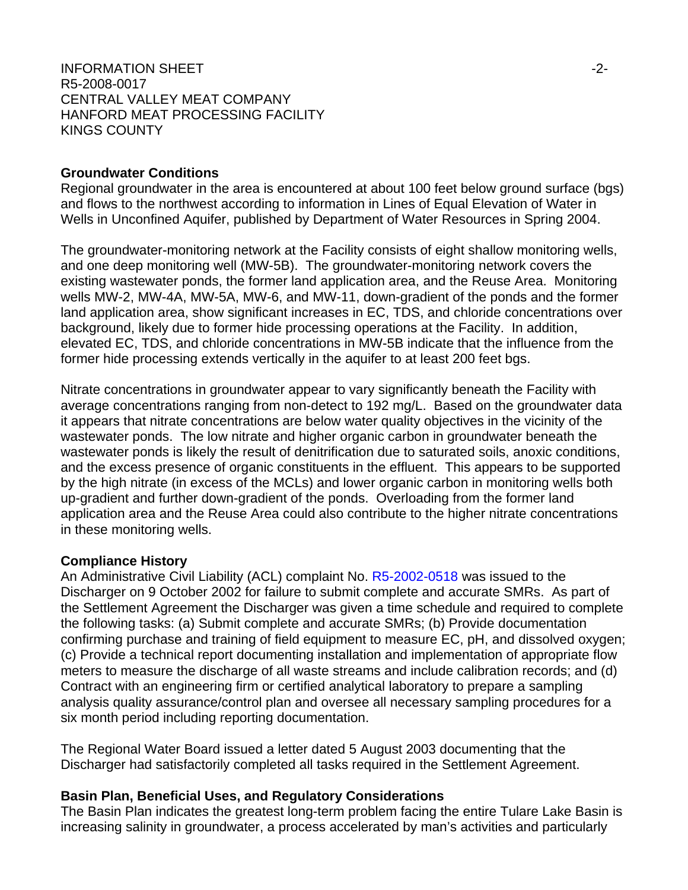### INFORMATION SHEET  $\sim$ R5-2008-0017 CENTRAL VALLEY MEAT COMPANY HANFORD MEAT PROCESSING FACILITY KINGS COUNTY

#### **Groundwater Conditions**

Regional groundwater in the area is encountered at about 100 feet below ground surface (bgs) and flows to the northwest according to information in Lines of Equal Elevation of Water in Wells in Unconfined Aquifer, published by Department of Water Resources in Spring 2004.

The groundwater-monitoring network at the Facility consists of eight shallow monitoring wells, and one deep monitoring well (MW-5B). The groundwater-monitoring network covers the existing wastewater ponds, the former land application area, and the Reuse Area. Monitoring wells MW-2, MW-4A, MW-5A, MW-6, and MW-11, down-gradient of the ponds and the former land application area, show significant increases in EC, TDS, and chloride concentrations over background, likely due to former hide processing operations at the Facility. In addition, elevated EC, TDS, and chloride concentrations in MW-5B indicate that the influence from the former hide processing extends vertically in the aquifer to at least 200 feet bgs.

Nitrate concentrations in groundwater appear to vary significantly beneath the Facility with average concentrations ranging from non-detect to 192 mg/L. Based on the groundwater data it appears that nitrate concentrations are below water quality objectives in the vicinity of the wastewater ponds. The low nitrate and higher organic carbon in groundwater beneath the wastewater ponds is likely the result of denitrification due to saturated soils, anoxic conditions, and the excess presence of organic constituents in the effluent. This appears to be supported by the high nitrate (in excess of the MCLs) and lower organic carbon in monitoring wells both up-gradient and further down-gradient of the ponds. Overloading from the former land application area and the Reuse Area could also contribute to the higher nitrate concentrations in these monitoring wells.

#### **Compliance History**

An Administrative Civil Liability (ACL) complaint No. R5-2002-0518 was issued to the Discharger on 9 October 2002 for failure to submit complete and accurate SMRs. As part of the Settlement Agreement the Discharger was given a time schedule and required to complete the following tasks: (a) Submit complete and accurate SMRs; (b) Provide documentation confirming purchase and training of field equipment to measure EC, pH, and dissolved oxygen; (c) Provide a technical report documenting installation and implementation of appropriate flow meters to measure the discharge of all waste streams and include calibration records; and (d) Contract with an engineering firm or certified analytical laboratory to prepare a sampling analysis quality assurance/control plan and oversee all necessary sampling procedures for a six month period including reporting documentation.

The Regional Water Board issued a letter dated 5 August 2003 documenting that the Discharger had satisfactorily completed all tasks required in the Settlement Agreement.

#### **Basin Plan, Beneficial Uses, and Regulatory Considerations**

The Basin Plan indicates the greatest long-term problem facing the entire Tulare Lake Basin is increasing salinity in groundwater, a process accelerated by man's activities and particularly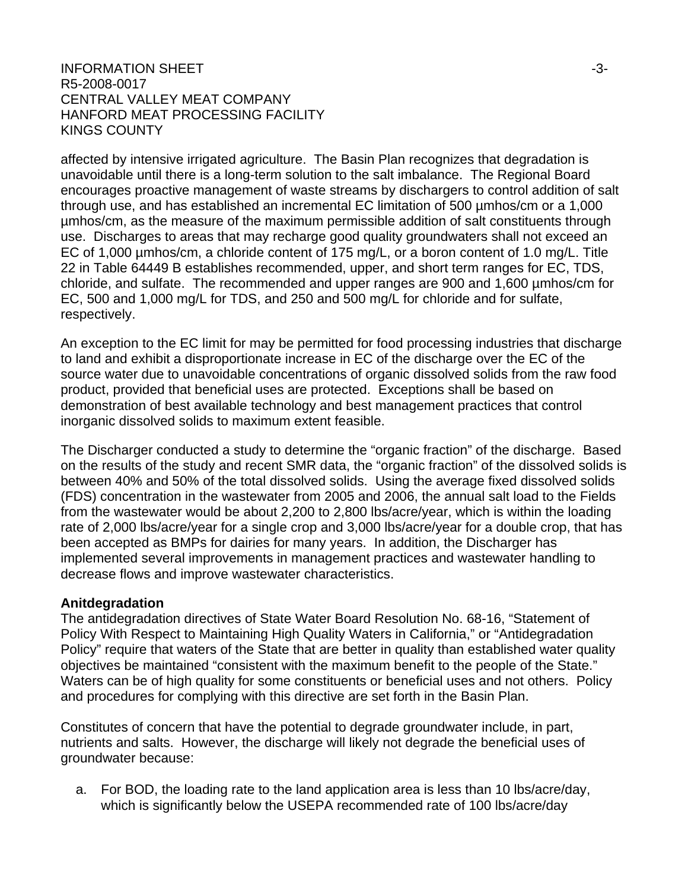### $\blacksquare$ INFORMATION SHEET  $\blacksquare$ R5-2008-0017 CENTRAL VALLEY MEAT COMPANY HANFORD MEAT PROCESSING FACILITY KINGS COUNTY

affected by intensive irrigated agriculture. The Basin Plan recognizes that degradation is unavoidable until there is a long-term solution to the salt imbalance. The Regional Board encourages proactive management of waste streams by dischargers to control addition of salt through use, and has established an incremental EC limitation of 500 µmhos/cm or a 1,000 µmhos/cm, as the measure of the maximum permissible addition of salt constituents through use. Discharges to areas that may recharge good quality groundwaters shall not exceed an EC of 1,000 µmhos/cm, a chloride content of 175 mg/L, or a boron content of 1.0 mg/L. Title 22 in Table 64449 B establishes recommended, upper, and short term ranges for EC, TDS, chloride, and sulfate. The recommended and upper ranges are 900 and 1,600 µmhos/cm for EC, 500 and 1,000 mg/L for TDS, and 250 and 500 mg/L for chloride and for sulfate, respectively.

An exception to the EC limit for may be permitted for food processing industries that discharge to land and exhibit a disproportionate increase in EC of the discharge over the EC of the source water due to unavoidable concentrations of organic dissolved solids from the raw food product, provided that beneficial uses are protected. Exceptions shall be based on demonstration of best available technology and best management practices that control inorganic dissolved solids to maximum extent feasible.

The Discharger conducted a study to determine the "organic fraction" of the discharge. Based on the results of the study and recent SMR data, the "organic fraction" of the dissolved solids is between 40% and 50% of the total dissolved solids. Using the average fixed dissolved solids (FDS) concentration in the wastewater from 2005 and 2006, the annual salt load to the Fields from the wastewater would be about 2,200 to 2,800 lbs/acre/year, which is within the loading rate of 2,000 lbs/acre/year for a single crop and 3,000 lbs/acre/year for a double crop, that has been accepted as BMPs for dairies for many years. In addition, the Discharger has implemented several improvements in management practices and wastewater handling to decrease flows and improve wastewater characteristics.

#### **Anitdegradation**

The antidegradation directives of State Water Board Resolution No. 68-16, "Statement of Policy With Respect to Maintaining High Quality Waters in California," or "Antidegradation Policy" require that waters of the State that are better in quality than established water quality objectives be maintained "consistent with the maximum benefit to the people of the State." Waters can be of high quality for some constituents or beneficial uses and not others. Policy and procedures for complying with this directive are set forth in the Basin Plan.

Constitutes of concern that have the potential to degrade groundwater include, in part, nutrients and salts. However, the discharge will likely not degrade the beneficial uses of groundwater because:

a. For BOD, the loading rate to the land application area is less than 10 lbs/acre/day, which is significantly below the USEPA recommended rate of 100 lbs/acre/day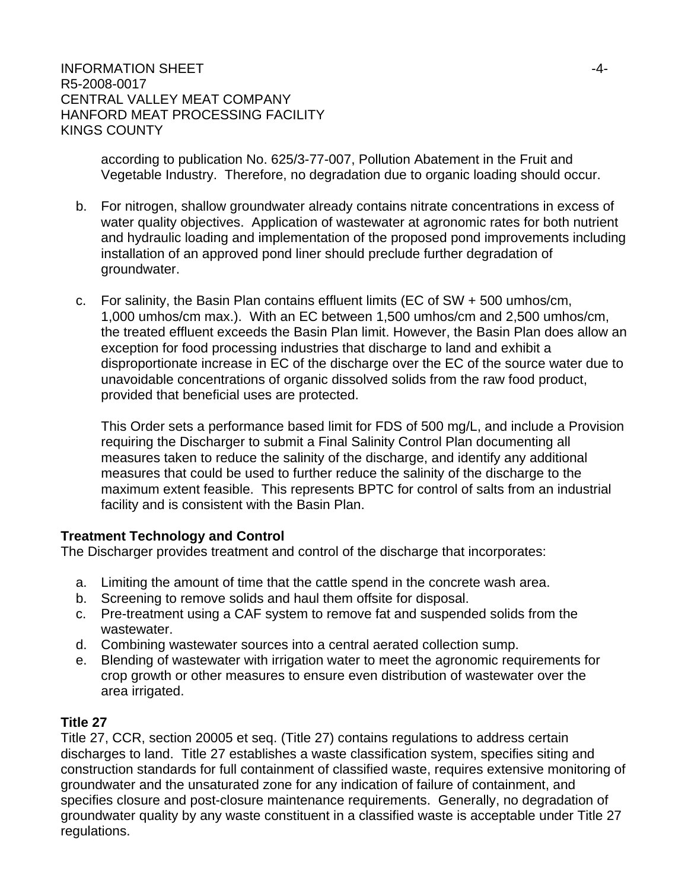according to publication No. 625/3-77-007, Pollution Abatement in the Fruit and Vegetable Industry. Therefore, no degradation due to organic loading should occur.

- b. For nitrogen, shallow groundwater already contains nitrate concentrations in excess of water quality objectives. Application of wastewater at agronomic rates for both nutrient and hydraulic loading and implementation of the proposed pond improvements including installation of an approved pond liner should preclude further degradation of groundwater.
- c. For salinity, the Basin Plan contains effluent limits (EC of SW + 500 umhos/cm, 1,000 umhos/cm max.). With an EC between 1,500 umhos/cm and 2,500 umhos/cm, the treated effluent exceeds the Basin Plan limit. However, the Basin Plan does allow an exception for food processing industries that discharge to land and exhibit a disproportionate increase in EC of the discharge over the EC of the source water due to unavoidable concentrations of organic dissolved solids from the raw food product, provided that beneficial uses are protected.

This Order sets a performance based limit for FDS of 500 mg/L, and include a Provision requiring the Discharger to submit a Final Salinity Control Plan documenting all measures taken to reduce the salinity of the discharge, and identify any additional measures that could be used to further reduce the salinity of the discharge to the maximum extent feasible. This represents BPTC for control of salts from an industrial facility and is consistent with the Basin Plan.

## **Treatment Technology and Control**

The Discharger provides treatment and control of the discharge that incorporates:

- a. Limiting the amount of time that the cattle spend in the concrete wash area.
- b. Screening to remove solids and haul them offsite for disposal.
- c. Pre-treatment using a CAF system to remove fat and suspended solids from the wastewater.
- d. Combining wastewater sources into a central aerated collection sump.
- e. Blending of wastewater with irrigation water to meet the agronomic requirements for crop growth or other measures to ensure even distribution of wastewater over the area irrigated.

## **Title 27**

Title 27, CCR, section 20005 et seq. (Title 27) contains regulations to address certain discharges to land. Title 27 establishes a waste classification system, specifies siting and construction standards for full containment of classified waste, requires extensive monitoring of groundwater and the unsaturated zone for any indication of failure of containment, and specifies closure and post-closure maintenance requirements. Generally, no degradation of groundwater quality by any waste constituent in a classified waste is acceptable under Title 27 regulations.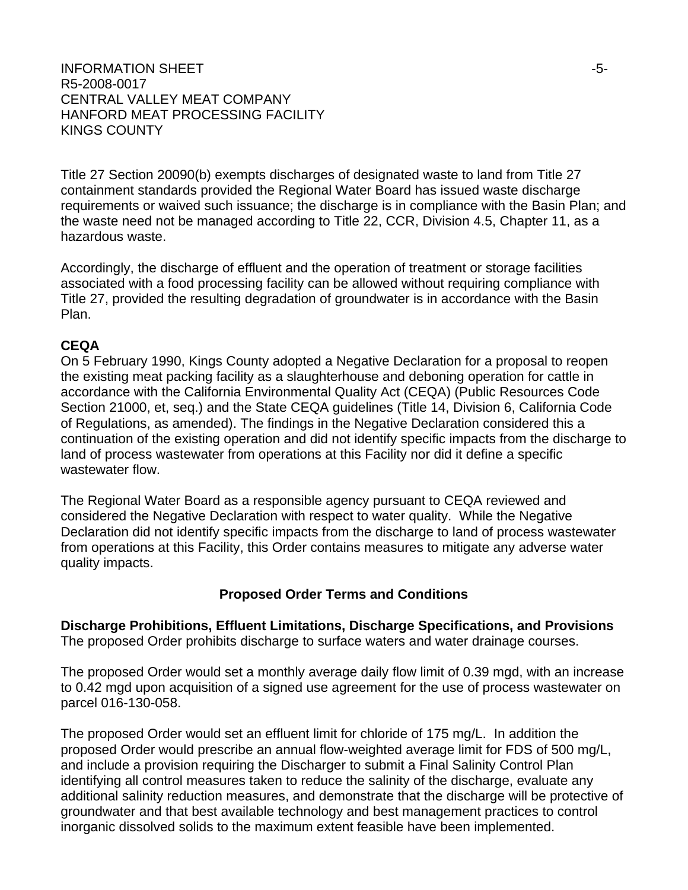### INFORMATION SHEET  $\sim$ R5-2008-0017 CENTRAL VALLEY MEAT COMPANY HANFORD MEAT PROCESSING FACILITY KINGS COUNTY

Title 27 Section 20090(b) exempts discharges of designated waste to land from Title 27 containment standards provided the Regional Water Board has issued waste discharge requirements or waived such issuance; the discharge is in compliance with the Basin Plan; and the waste need not be managed according to Title 22, CCR, Division 4.5, Chapter 11, as a hazardous waste.

Accordingly, the discharge of effluent and the operation of treatment or storage facilities associated with a food processing facility can be allowed without requiring compliance with Title 27, provided the resulting degradation of groundwater is in accordance with the Basin Plan.

## **CEQA**

On 5 February 1990, Kings County adopted a Negative Declaration for a proposal to reopen the existing meat packing facility as a slaughterhouse and deboning operation for cattle in accordance with the California Environmental Quality Act (CEQA) (Public Resources Code Section 21000, et, seq.) and the State CEQA guidelines (Title 14, Division 6, California Code of Regulations, as amended). The findings in the Negative Declaration considered this a continuation of the existing operation and did not identify specific impacts from the discharge to land of process wastewater from operations at this Facility nor did it define a specific wastewater flow.

The Regional Water Board as a responsible agency pursuant to CEQA reviewed and considered the Negative Declaration with respect to water quality. While the Negative Declaration did not identify specific impacts from the discharge to land of process wastewater from operations at this Facility, this Order contains measures to mitigate any adverse water quality impacts.

#### **Proposed Order Terms and Conditions**

**Discharge Prohibitions, Effluent Limitations, Discharge Specifications, and Provisions**  The proposed Order prohibits discharge to surface waters and water drainage courses.

The proposed Order would set a monthly average daily flow limit of 0.39 mgd, with an increase to 0.42 mgd upon acquisition of a signed use agreement for the use of process wastewater on parcel 016-130-058.

The proposed Order would set an effluent limit for chloride of 175 mg/L. In addition the proposed Order would prescribe an annual flow-weighted average limit for FDS of 500 mg/L, and include a provision requiring the Discharger to submit a Final Salinity Control Plan identifying all control measures taken to reduce the salinity of the discharge, evaluate any additional salinity reduction measures, and demonstrate that the discharge will be protective of groundwater and that best available technology and best management practices to control inorganic dissolved solids to the maximum extent feasible have been implemented.